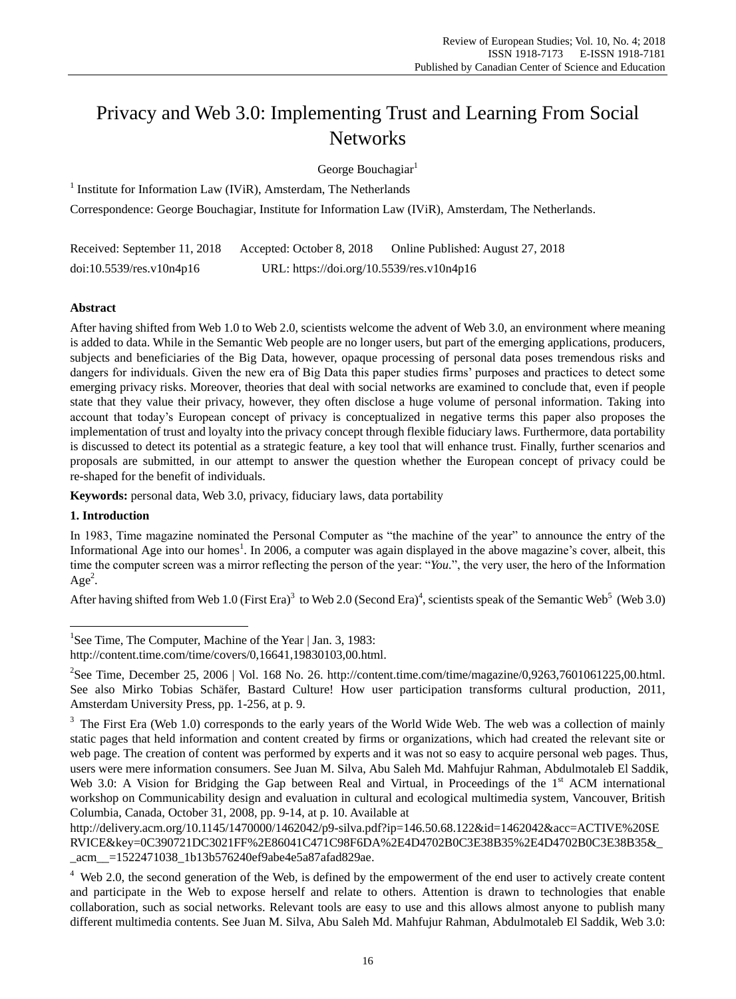# Privacy and Web 3.0: Implementing Trust and Learning From Social **Networks**

George Bouchagiar<sup>1</sup>

<sup>1</sup> Institute for Information Law (IViR), Amsterdam, The Netherlands

Correspondence: George Bouchagiar, Institute for Information Law (IViR), Amsterdam, The Netherlands.

Received: September 11, 2018 Accepted: October 8, 2018 Online Published: August 27, 2018 doi:10.5539/res.v10n4p16 URL: https://doi.org/10.5539/res.v10n4p16

## **Abstract**

After having shifted from Web 1.0 to Web 2.0, scientists welcome the advent of Web 3.0, an environment where meaning is added to data. While in the Semantic Web people are no longer users, but part of the emerging applications, producers, subjects and beneficiaries of the Big Data, however, opaque processing of personal data poses tremendous risks and dangers for individuals. Given the new era of Big Data this paper studies firms' purposes and practices to detect some emerging privacy risks. Moreover, theories that deal with social networks are examined to conclude that, even if people state that they value their privacy, however, they often disclose a huge volume of personal information. Taking into account that today's European concept of privacy is conceptualized in negative terms this paper also proposes the implementation of trust and loyalty into the privacy concept through flexible fiduciary laws. Furthermore, data portability is discussed to detect its potential as a strategic feature, a key tool that will enhance trust. Finally, further scenarios and proposals are submitted, in our attempt to answer the question whether the European concept of privacy could be re-shaped for the benefit of individuals.

**Keywords:** personal data, Web 3.0, privacy, fiduciary laws, data portability

# **1. Introduction**

 $\overline{a}$ 

In 1983, Time magazine nominated the Personal Computer as "the machine of the year" to announce the entry of the Informational Age into our homes<sup>1</sup>. In 2006, a computer was again displayed in the above magazine's cover, albeit, this time the computer screen was a mirror reflecting the person of the year: "You.", the very user, the hero of the Information  $Age<sup>2</sup>$ .

After having shifted from Web 1.0 (First Era)<sup>3</sup> to Web 2.0 (Second Era)<sup>4</sup>, scientists speak of the Semantic Web<sup>5</sup> (Web 3.0)

<sup>&</sup>lt;sup>1</sup>See Time, The Computer, Machine of the Year | Jan. 3, 1983:

http://content.time.com/time/covers/0,16641,19830103,00.html.

<sup>&</sup>lt;sup>2</sup>See Time, December 25, 2006 | Vol. 168 No. 26. http://content.time.com/time/magazine/0,9263,7601061225,00.html. See also Mirko Tobias Schäfer, Bastard Culture! How user participation transforms cultural production, 2011, Amsterdam University Press, pp. 1-256, at p. 9.

<sup>&</sup>lt;sup>3</sup> The First Era (Web 1.0) corresponds to the early years of the World Wide Web. The web was a collection of mainly static pages that held information and content created by firms or organizations, which had created the relevant site or web page. The creation of content was performed by experts and it was not so easy to acquire personal web pages. Thus, users were mere information consumers. See Juan M. Silva, Abu Saleh Md. Mahfujur Rahman, Abdulmotaleb El Saddik, Web 3.0: A Vision for Bridging the Gap between Real and Virtual, in Proceedings of the 1<sup>st</sup> ACM international workshop on Communicability design and evaluation in cultural and ecological multimedia system, Vancouver, British Columbia, Canada, October 31, 2008, pp. 9-14, at p. 10. Available at

http://delivery.acm.org/10.1145/1470000/1462042/p9-silva.pdf?ip=146.50.68.122&id=1462042&acc=ACTIVE%20SE RVICE&key=0C390721DC3021FF%2E86041C471C98F6DA%2E4D4702B0C3E38B35%2E4D4702B0C3E38B35&\_ \_acm\_\_=1522471038\_1b13b576240ef9abe4e5a87afad829ae.

 $4$  Web 2.0, the second generation of the Web, is defined by the empowerment of the end user to actively create content and participate in the Web to expose herself and relate to others. Attention is drawn to technologies that enable collaboration, such as social networks. Relevant tools are easy to use and this allows almost anyone to publish many different multimedia contents. See Juan M. Silva, Abu Saleh Md. Mahfujur Rahman, Abdulmotaleb El Saddik, Web 3.0: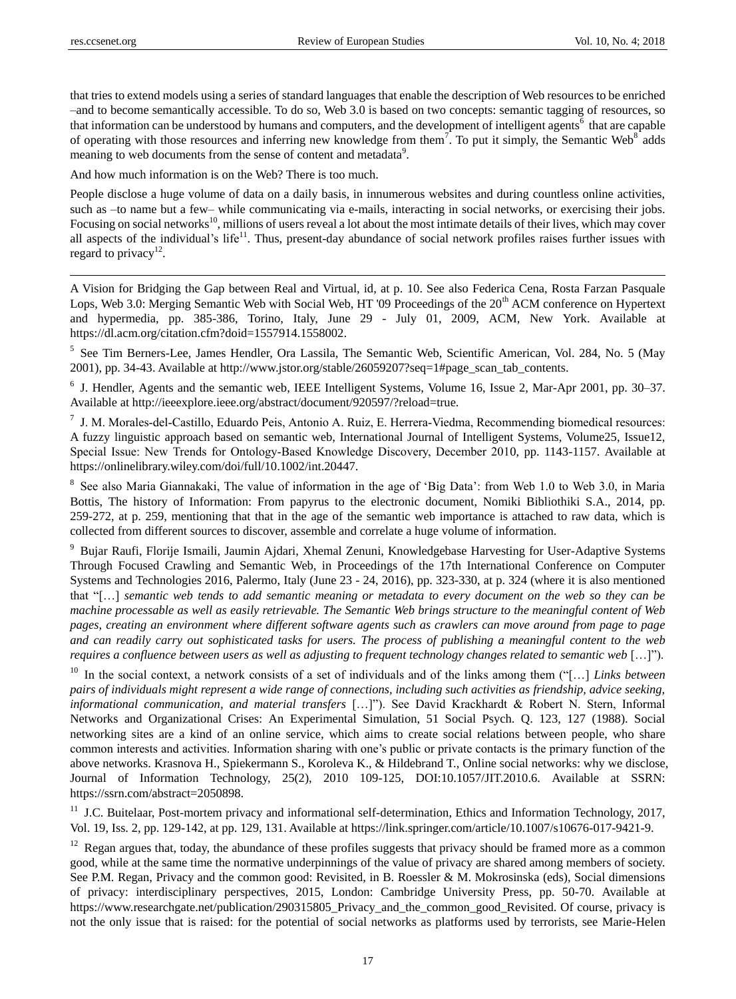that tries to extend models using a series of standard languages that enable the description of Web resources to be enriched –and to become semantically accessible. To do so, Web 3.0 is based on two concepts: semantic tagging of resources, so that information can be understood by humans and computers, and the development of intelligent agents<sup>6</sup> that are capable of operating with those resources and inferring new knowledge from them<sup>7</sup>. To put it simply, the Semantic Web<sup>8</sup> adds meaning to web documents from the sense of content and metadata<sup>9</sup>.

And how much information is on the Web? There is too much.

People disclose a huge volume of data on a daily basis, in innumerous websites and during countless online activities, such as –to name but a few– while communicating via e-mails, interacting in social networks, or exercising their jobs. Focusing on social networks<sup>10</sup>, millions of users reveal a lot about the most intimate details of their lives, which may cover all aspects of the individual's life<sup>11</sup>. Thus, present-day abundance of social network profiles raises further issues with regard to privacy<sup>12</sup>.

A Vision for Bridging the Gap between Real and Virtual, id, at p. 10. See also Federica Cena, Rosta Farzan Pasquale Lops, Web 3.0: Merging Semantic Web with Social Web, HT '09 Proceedings of the 20<sup>th</sup> ACM conference on Hypertext and hypermedia, pp. 385-386, Torino, Italy, June 29 - July 01, 2009, ACM, New York. Available at https://dl.acm.org/citation.cfm?doid=1557914.1558002.

5 See Tim Berners-Lee, James Hendler, Ora Lassila, The Semantic Web, Scientific American, Vol. 284, No. 5 (May 2001), pp. 34-43. Available at http://www.jstor.org/stable/26059207?seq=1#page\_scan\_tab\_contents.

6 J. Hendler, Agents and the semantic web, IEEE Intelligent Systems, Volume 16, Issue 2, Mar-Apr 2001, pp. 30–37. Available at http://ieeexplore.ieee.org/abstract/document/920597/?reload=true.

7 J. M. Morales‐del‐Castillo, Eduardo Peis, Antonio A. Ruiz, E. Herrera‐Viedma, Recommending biomedical resources: A fuzzy linguistic approach based on semantic web, International Journal of Intelligent Systems, Volume25, Issue12, Special Issue: New Trends for Ontology‐Based Knowledge Discovery, December 2010, pp. 1143-1157. Available at https://onlinelibrary.wiley.com/doi/full/10.1002/int.20447.

<sup>8</sup> See also Maria Giannakaki, The value of information in the age of 'Big Data': from Web 1.0 to Web 3.0, in Maria Bottis, The history of Information: From papyrus to the electronic document, Nomiki Bibliothiki S.A., 2014, pp. 259-272, at p. 259, mentioning that that in the age of the semantic web importance is attached to raw data, which is collected from different sources to discover, assemble and correlate a huge volume of information.

<sup>9</sup> Bujar Raufi, Florije Ismaili, Jaumin Ajdari, Xhemal Zenuni, Knowledgebase Harvesting for User-Adaptive Systems Through Focused Crawling and Semantic Web, in Proceedings of the 17th International Conference on Computer Systems and Technologies 2016, Palermo, Italy (June 23 - 24, 2016), pp. 323-330, at p. 324 (where it is also mentioned that "[...] *semantic web tends to add semantic meaning or metadata to every document on the web so they can be machine processable as well as easily retrievable. The Semantic Web brings structure to the meaningful content of Web pages, creating an environment where different software agents such as crawlers can move around from page to page and can readily carry out sophisticated tasks for users. The process of publishing a meaningful content to the web requires a confluence between users as well as adjusting to frequent technology changes related to semantic web* […]").

<sup>10</sup> In the social context, a network consists of a set of individuals and of the links among them ("[...] *Links between pairs of individuals might represent a wide range of connections, including such activities as friendship, advice seeking, informational communication, and material transfers* […]‖). See David Krackhardt & Robert N. Stern, Informal Networks and Organizational Crises: An Experimental Simulation, 51 Social Psych. Q. 123, 127 (1988). Social networking sites are a kind of an online service, which aims to create social relations between people, who share common interests and activities. Information sharing with one's public or private contacts is the primary function of the above networks. Krasnova H., Spiekermann S., Koroleva K., & Hildebrand T., Online social networks: why we disclose, Journal of Information Technology, 25(2), 2010 109-125, DOI:10.1057/JIT.2010.6. Available at SSRN: https://ssrn.com/abstract=2050898.

<sup>11</sup> J.C. Buitelaar, Post-mortem privacy and informational self-determination, Ethics and Information Technology, 2017, Vol. 19, Iss. 2, pp. 129-142, at pp. 129, 131. Available at https://link.springer.com/article/10.1007/s10676-017-9421-9.

<sup>12</sup> Regan argues that, today, the abundance of these profiles suggests that privacy should be framed more as a common good, while at the same time the normative underpinnings of the value of privacy are shared among members of society. See P.M. Regan, Privacy and the common good: Revisited, in B. Roessler & M. Mokrosinska (eds), Social dimensions of privacy: interdisciplinary perspectives, 2015, London: Cambridge University Press, pp. 50-70. Available at https://www.researchgate.net/publication/290315805\_Privacy\_and\_the\_common\_good\_Revisited. Of course, privacy is not the only issue that is raised: for the potential of social networks as platforms used by terrorists, see Marie-Helen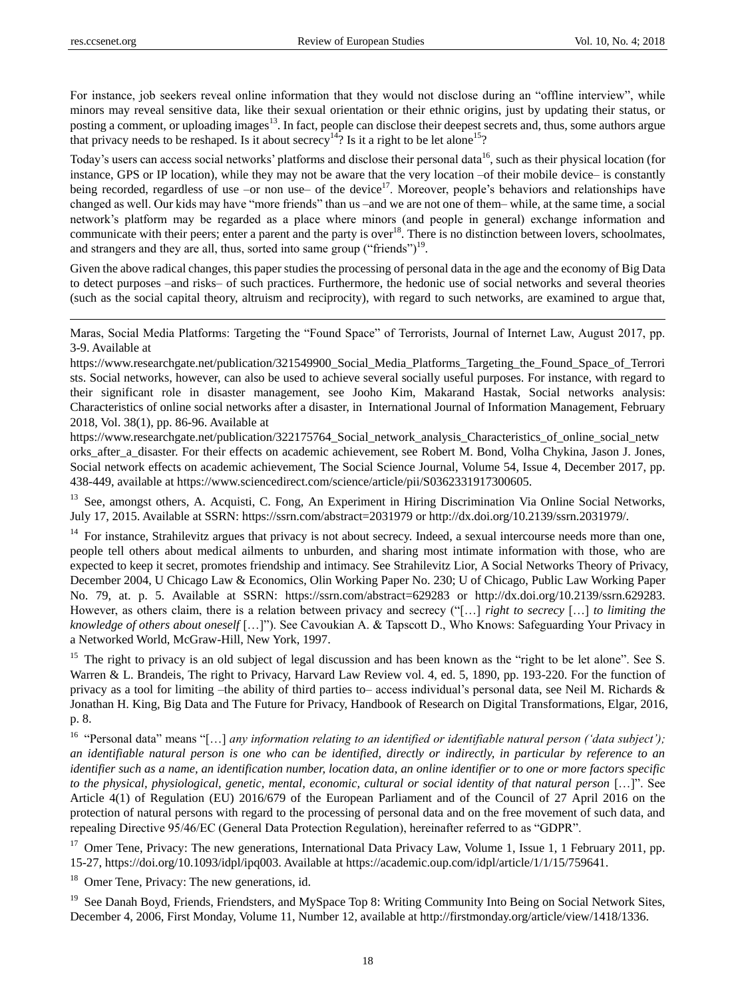For instance, job seekers reveal online information that they would not disclose during an "offline interview", while minors may reveal sensitive data, like their sexual orientation or their ethnic origins, just by updating their status, or posting a comment, or uploading images<sup>13</sup>. In fact, people can disclose their deepest secrets and, thus, some authors argue that privacy needs to be reshaped. Is it about secrecy<sup>14</sup>? Is it a right to be let alone<sup>15</sup>?

Today's users can access social networks' platforms and disclose their personal data<sup>16</sup>, such as their physical location (for instance, GPS or IP location), while they may not be aware that the very location –of their mobile device– is constantly being recorded, regardless of use –or non use– of the device<sup>17</sup>. Moreover, people's behaviors and relationships have changed as well. Our kids may have "more friends" than us –and we are not one of them– while, at the same time, a social network's platform may be regarded as a place where minors (and people in general) exchange information and communicate with their peers; enter a parent and the party is over $18$ . There is no distinction between lovers, schoolmates, and strangers and they are all, thus, sorted into same group ("friends") $19$ .

Given the above radical changes, this paper studies the processing of personal data in the age and the economy of Big Data to detect purposes –and risks– of such practices. Furthermore, the hedonic use of social networks and several theories (such as the social capital theory, altruism and reciprocity), with regard to such networks, are examined to argue that,

Maras, Social Media Platforms: Targeting the "Found Space" of Terrorists, Journal of Internet Law, August 2017, pp. 3-9. Available at

https://www.researchgate.net/publication/321549900\_Social\_Media\_Platforms\_Targeting\_the\_Found\_Space\_of\_Terrori sts. Social networks, however, can also be used to achieve several socially useful purposes. For instance, with regard to their significant role in disaster management, see Jooho Kim, Makarand Hastak, Social networks analysis: Characteristics of online social networks after a disaster, in International Journal of Information Management, February 2018, Vol. 38(1), pp. 86-96. Available at

https://www.researchgate.net/publication/322175764\_Social\_network\_analysis\_Characteristics\_of\_online\_social\_netw orks\_after\_a\_disaster. For their effects on academic achievement, see Robert M. Bond, Volha Chykina, Jason J. Jones, Social network effects on academic achievement, The Social Science Journal, Volume 54, Issue 4, December 2017, pp. 438-449, available at https://www.sciencedirect.com/science/article/pii/S0362331917300605.

<sup>13</sup> See, amongst others, A. Acquisti, C. Fong, An Experiment in Hiring Discrimination Via Online Social Networks, July 17, 2015. Available at SSRN: https://ssrn.com/abstract=2031979 or http://dx.doi.org/10.2139/ssrn.2031979/.

<sup>14</sup> For instance, Strahilevitz argues that privacy is not about secrecy. Indeed, a sexual intercourse needs more than one, people tell others about medical ailments to unburden, and sharing most intimate information with those, who are expected to keep it secret, promotes friendship and intimacy. See Strahilevitz Lior, A Social Networks Theory of Privacy, December 2004, U Chicago Law & Economics, Olin Working Paper No. 230; U of Chicago, Public Law Working Paper No. 79, at. p. 5. Available at SSRN: https://ssrn.com/abstract=629283 or http://dx.doi.org/10.2139/ssrn.629283. However, as others claim, there is a relation between privacy and secrecy (―[…] *right to secrecy* […] *to limiting the knowledge of others about oneself* […]"). See Cavoukian A. & Tapscott D., Who Knows: Safeguarding Your Privacy in a Networked World, McGraw-Hill, New York, 1997.

 $15$  The right to privacy is an old subject of legal discussion and has been known as the "right to be let alone". See S. Warren & L. Brandeis, The right to Privacy, Harvard Law Review vol. 4, ed. 5, 1890, pp. 193-220. For the function of privacy as a tool for limiting –the ability of third parties to– access individual's personal data, see Neil M. Richards & Jonathan H. King, Big Data and The Future for Privacy, Handbook of Research on Digital Transformations, Elgar, 2016, p. 8.

<sup>16</sup> "Personal data" means "[...] *any information relating to an identified or identifiable natural person ('data subject')*; *an identifiable natural person is one who can be identified, directly or indirectly, in particular by reference to an identifier such as a name, an identification number, location data, an online identifier or to one or more factors specific to the physical, physiological, genetic, mental, economic, cultural or social identity of that natural person* […]". See Article 4(1) of Regulation (EU) 2016/679 of the European Parliament and of the Council of 27 April 2016 on the protection of natural persons with regard to the processing of personal data and on the free movement of such data, and repealing Directive 95/46/EC (General Data Protection Regulation), hereinafter referred to as "GDPR".

<sup>17</sup> Omer Tene, Privacy: The new generations, International Data Privacy Law, Volume 1, Issue 1, 1 February 2011, pp. 15-27, https://doi.org/10.1093/idpl/ipq003. Available at https://academic.oup.com/idpl/article/1/1/15/759641.

<sup>18</sup> Omer Tene, Privacy: The new generations, id.

<sup>19</sup> See Danah Boyd, Friends, Friendsters, and MySpace Top 8: Writing Community Into Being on Social Network Sites, December 4, 2006, First Monday, Volume 11, Number 12, available at http://firstmonday.org/article/view/1418/1336.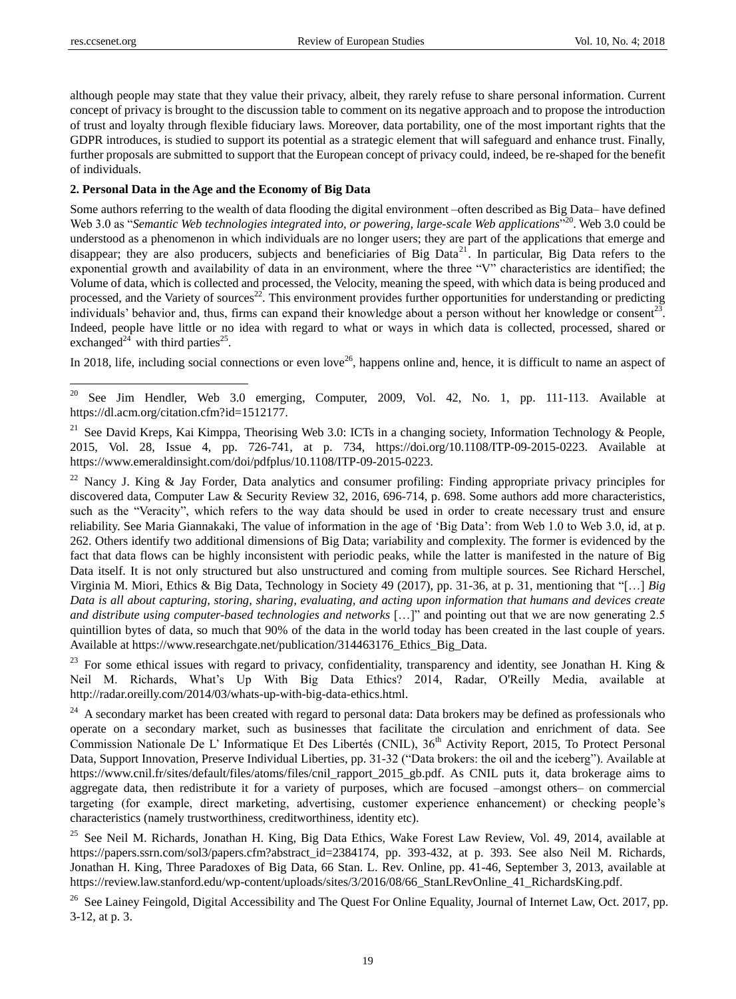although people may state that they value their privacy, albeit, they rarely refuse to share personal information. Current concept of privacy is brought to the discussion table to comment on its negative approach and to propose the introduction of trust and loyalty through flexible fiduciary laws. Moreover, data portability, one of the most important rights that the GDPR introduces, is studied to support its potential as a strategic element that will safeguard and enhance trust. Finally, further proposals are submitted to support that the European concept of privacy could, indeed, be re-shaped for the benefit of individuals.

#### **2. Personal Data in the Age and the Economy of Big Data**

Some authors referring to the wealth of data flooding the digital environment –often described as Big Data– have defined Web 3.0 as "Semantic Web technologies integrated into, or powering, large-scale Web applications<sup>"20</sup>. Web 3.0 could be understood as a phenomenon in which individuals are no longer users; they are part of the applications that emerge and disappear; they are also producers, subjects and beneficiaries of Big Data<sup>21</sup>. In particular, Big Data refers to the exponential growth and availability of data in an environment, where the three "V" characteristics are identified; the Volume of data, which is collected and processed, the Velocity, meaning the speed, with which data is being produced and processed, and the Variety of sources<sup>22</sup>. This environment provides further opportunities for understanding or predicting individuals' behavior and, thus, firms can expand their knowledge about a person without her knowledge or consent<sup>23</sup>. Indeed, people have little or no idea with regard to what or ways in which data is collected, processed, shared or exchanged<sup>24</sup> with third parties<sup>25</sup>.

In 2018, life, including social connections or even love<sup>26</sup>, happens online and, hence, it is difficult to name an aspect of

<sup>22</sup> Nancy J. King & Jay Forder, Data analytics and consumer profiling: Finding appropriate privacy principles for discovered data, Computer Law & Security Review 32, 2016, 696-714, p. 698. Some authors add more characteristics, such as the "Veracity", which refers to the way data should be used in order to create necessary trust and ensure reliability. See Maria Giannakaki, The value of information in the age of 'Big Data': from Web 1.0 to Web 3.0, id, at p. 262. Others identify two additional dimensions of Big Data; variability and complexity. The former is evidenced by the fact that data flows can be highly inconsistent with periodic peaks, while the latter is manifested in the nature of Big Data itself. It is not only structured but also unstructured and coming from multiple sources. See Richard Herschel, Virginia M. Miori, Ethics & Big Data, Technology in Society 49 (2017), pp. 31-36, at p. 31, mentioning that ―[…] *Big Data is all about capturing, storing, sharing, evaluating, and acting upon information that humans and devices create and distribute using computer-based technologies and networks* [...]" and pointing out that we are now generating 2.5 quintillion bytes of data, so much that 90% of the data in the world today has been created in the last couple of years. Available at https://www.researchgate.net/publication/314463176 Ethics Big Data.

<sup>23</sup> For some ethical issues with regard to privacy, confidentiality, transparency and identity, see Jonathan H. King  $\&$ Neil M. Richards, What's Up With Big Data Ethics? 2014, Radar, O'Reilly Media, available at http://radar.oreilly.com/2014/03/whats-up-with-big-data-ethics.html.

 $24$  A secondary market has been created with regard to personal data: Data brokers may be defined as professionals who operate on a secondary market, such as businesses that facilitate the circulation and enrichment of data. See Commission Nationale De L' Informatique Et Des Libertés (CNIL), 36<sup>th</sup> Activity Report, 2015, To Protect Personal Data, Support Innovation, Preserve Individual Liberties, pp. 31-32 ("Data brokers: the oil and the iceberg"). Available at https://www.cnil.fr/sites/default/files/atoms/files/cnil\_rapport\_2015\_gb.pdf. As CNIL puts it, data brokerage aims to aggregate data, then redistribute it for a variety of purposes, which are focused –amongst others– on commercial targeting (for example, direct marketing, advertising, customer experience enhancement) or checking people's characteristics (namely trustworthiness, creditworthiness, identity etc).

<sup>25</sup> See Neil M. Richards, Jonathan H. King, Big Data Ethics, Wake Forest Law Review, Vol. 49, 2014, available at https://papers.ssrn.com/sol3/papers.cfm?abstract\_id=2384174, pp. 393-432, at p. 393. See also Neil M. Richards, Jonathan H. King, Three Paradoxes of Big Data, 66 Stan. L. Rev. Online, pp. 41-46, September 3, 2013, available at https://review.law.stanford.edu/wp-content/uploads/sites/3/2016/08/66\_StanLRevOnline\_41\_RichardsKing.pdf.

<sup>26</sup> See Lainey Feingold, Digital Accessibility and The Quest For Online Equality, Journal of Internet Law, Oct. 2017, pp. 3-12, at p. 3.

<sup>20</sup> <sup>20</sup> See Jim Hendler, Web 3.0 emerging, Computer, 2009, Vol. 42, No. 1, pp. 111-113. Available at https://dl.acm.org/citation.cfm?id=1512177.

<sup>&</sup>lt;sup>21</sup> See David Kreps, Kai Kimppa, Theorising Web 3.0: ICTs in a changing society, Information Technology & People, 2015, Vol. 28, Issue 4, pp. 726-741, at p. 734, https://doi.org/10.1108/ITP-09-2015-0223. Available at https://www.emeraldinsight.com/doi/pdfplus/10.1108/ITP-09-2015-0223.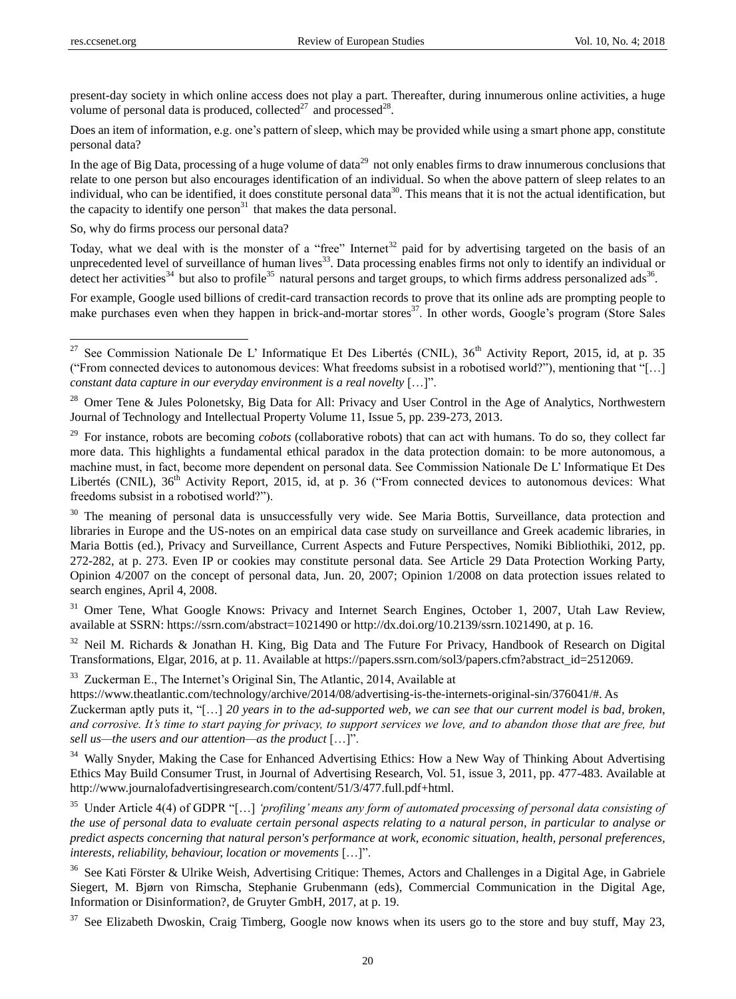present-day society in which online access does not play a part. Thereafter, during innumerous online activities, a huge volume of personal data is produced, collected $^{27}$  and processed $^{28}$ .

Does an item of information, e.g. one's pattern of sleep, which may be provided while using a smart phone app, constitute personal data?

In the age of Big Data, processing of a huge volume of data<sup>29</sup> not only enables firms to draw innumerous conclusions that relate to one person but also encourages identification of an individual. So when the above pattern of sleep relates to an individual, who can be identified, it does constitute personal data<sup>30</sup>. This means that it is not the actual identification, but the capacity to identify one person $31$  that makes the data personal.

So, why do firms process our personal data?

Today, what we deal with is the monster of a "free" Internet<sup>32</sup> paid for by advertising targeted on the basis of an unprecedented level of surveillance of human lives<sup>33</sup>. Data processing enables firms not only to identify an individual or detect her activities $^{34}$  but also to profile $^{35}$  natural persons and target groups, to which firms address personalized ads $^{36}$ .

For example, Google used billions of credit-card transaction records to prove that its online ads are prompting people to make purchases even when they happen in brick-and-mortar stores<sup>37</sup>. In other words, Google's program (Store Sales

<sup>28</sup> Omer Tene & Jules Polonetsky, Big Data for All: Privacy and User Control in the Age of Analytics, Northwestern Journal of Technology and Intellectual Property Volume 11, Issue 5, pp. 239-273, 2013.

<sup>30</sup> The meaning of personal data is unsuccessfully very wide. See Maria Bottis, Surveillance, data protection and libraries in Europe and the US-notes on an empirical data case study on surveillance and Greek academic libraries, in Maria Bottis (ed.), Privacy and Surveillance, Current Aspects and Future Perspectives, Nomiki Bibliothiki, 2012, pp. 272-282, at p. 273. Even IP or cookies may constitute personal data. See Article 29 Data Protection Working Party, Opinion 4/2007 on the concept of personal data, Jun. 20, 2007; Opinion 1/2008 on data protection issues related to search engines, April 4, 2008.

<sup>31</sup> Omer Tene, What Google Knows: Privacy and Internet Search Engines, October 1, 2007, Utah Law Review, available at SSRN: https://ssrn.com/abstract=1021490 or http://dx.doi.org/10.2139/ssrn.1021490, at p. 16.

<sup>32</sup> Neil M. Richards & Jonathan H. King, Big Data and The Future For Privacy, Handbook of Research on Digital Transformations, Elgar, 2016, at p. 11. Available at https://papers.ssrn.com/sol3/papers.cfm?abstract\_id=2512069.

<sup>33</sup> Zuckerman E., The Internet's Original Sin, The Atlantic, 2014, Available at

https://www.theatlantic.com/technology/archive/2014/08/advertising-is-the-internets-original-sin/376041/#. As Zuckerman aptly puts it, "[...] 20 years in to the ad-supported web, we can see that our current model is bad, broken, and corrosive. It's time to start paying for privacy, to support services we love, and to abandon those that are free, but *sell us—the users and our attention—as the product* […]".

<sup>34</sup> Wally Snyder, Making the Case for Enhanced Advertising Ethics: How a New Way of Thinking About Advertising Ethics May Build Consumer Trust, in Journal of Advertising Research, Vol. 51, issue 3, 2011, pp. 477-483. Available at http://www.journalofadvertisingresearch.com/content/51/3/477.full.pdf+html.

<sup>35</sup> Under Article 4(4) of GDPR "[...] 'profiling' means any form of automated processing of personal data consisting of *the use of personal data to evaluate certain personal aspects relating to a natural person, in particular to analyse or predict aspects concerning that natural person's performance at work, economic situation, health, personal preferences, interests, reliability, behaviour, location or movements* [...]".

<sup>36</sup> See Kati Förster & Ulrike Weish, Advertising Critique: Themes, Actors and Challenges in a Digital Age, in Gabriele Siegert, M. Bjørn von Rimscha, Stephanie Grubenmann (eds), Commercial Communication in the Digital Age, Information or Disinformation?, de Gruyter GmbH, 2017, at p. 19.

 $37$  See Elizabeth Dwoskin, Craig Timberg, Google now knows when its users go to the store and buy stuff, May 23,

<sup>&</sup>lt;sup>27</sup> See Commission Nationale De L' Informatique Et Des Libertés (CNIL),  $36<sup>th</sup>$  Activity Report, 2015, id, at p. 35 ("From connected devices to autonomous devices: What freedoms subsist in a robotised world?"), mentioning that "[…] *constant data capture in our everyday environment is a real novelty* [...]".

<sup>&</sup>lt;sup>29</sup> For instance, robots are becoming *cobots* (collaborative robots) that can act with humans. To do so, they collect far more data. This highlights a fundamental ethical paradox in the data protection domain: to be more autonomous, a machine must, in fact, become more dependent on personal data. See Commission Nationale De L' Informatique Et Des Libert & (CNIL), 36<sup>th</sup> Activity Report, 2015, id, at p. 36 ("From connected devices to autonomous devices: What freedoms subsist in a robotised world?".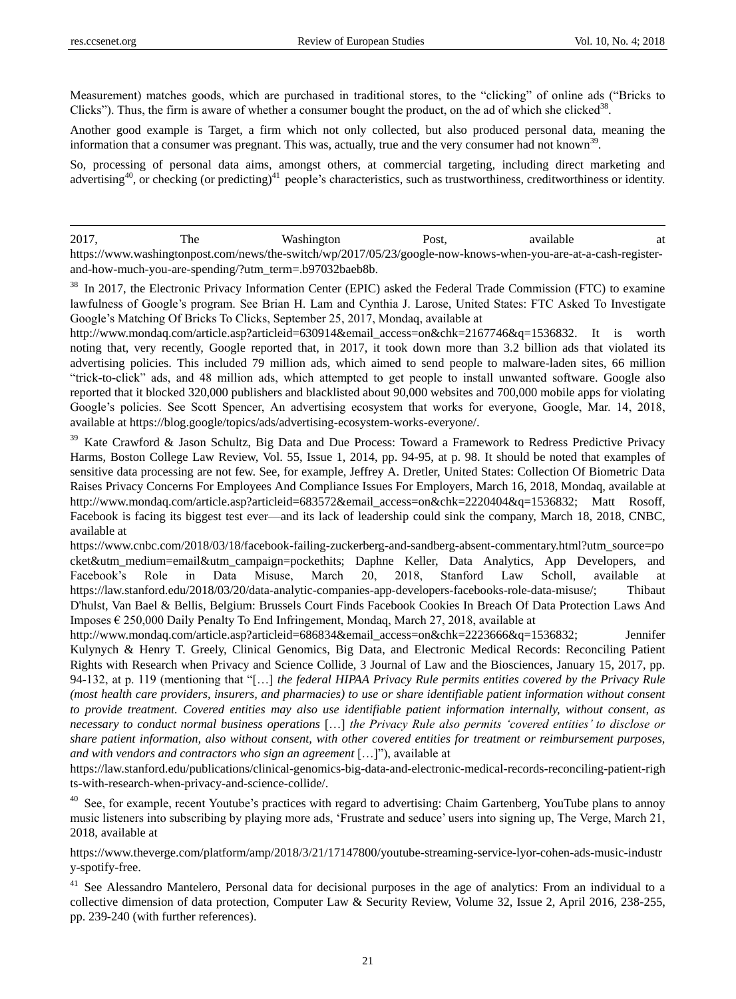Measurement) matches goods, which are purchased in traditional stores, to the "clicking" of online ads ("Bricks to Clicks"). Thus, the firm is aware of whether a consumer bought the product, on the ad of which she clicked<sup>38</sup>.

Another good example is Target, a firm which not only collected, but also produced personal data, meaning the information that a consumer was pregnant. This was, actually, true and the very consumer had not known<sup>39</sup>.

So, processing of personal data aims, amongst others, at commercial targeting, including direct marketing and advertising<sup>40</sup>, or checking (or predicting)<sup>41</sup> people's characteristics, such as trustworthiness, creditworthiness or identity.

2017, The Washington Post, available at https://www.washingtonpost.com/news/the-switch/wp/2017/05/23/google-now-knows-when-you-are-at-a-cash-registerand-how-much-you-are-spending/?utm\_term=.b97032baeb8b.

<sup>38</sup> In 2017, the Electronic Privacy Information Center (EPIC) asked the Federal Trade Commission (FTC) to examine lawfulness of Google's program. See Brian H. Lam and Cynthia J. Larose, United States: FTC Asked To Investigate Google's Matching Of Bricks To Clicks, September 25, 2017, Mondaq, available at

http://www.mondaq.com/article.asp?articleid=630914&email\_access=on&chk=2167746&q=1536832. It is worth noting that, very recently, Google reported that, in 2017, it took down more than 3.2 billion ads that violated its advertising policies. This included 79 million ads, which aimed to send people to malware-laden sites, 66 million ―trick-to-click‖ ads, and 48 million ads, which attempted to get people to install unwanted software. Google also reported that it blocked 320,000 publishers and blacklisted about 90,000 websites and 700,000 mobile apps for violating Google's policies. See Scott Spencer, An advertising ecosystem that works for everyone, Google, Mar. 14, 2018, available at https://blog.google/topics/ads/advertising-ecosystem-works-everyone/.

<sup>39</sup> Kate Crawford & Jason Schultz, Big Data and Due Process: Toward a Framework to Redress Predictive Privacy Harms, Boston College Law Review, Vol. 55, Issue 1, 2014, pp. 94-95, at p. 98. It should be noted that examples of sensitive data processing are not few. See, for example, Jeffrey A. Dretler, United States: Collection Of Biometric Data Raises Privacy Concerns For Employees And Compliance Issues For Employers, March 16, 2018, Mondaq, available at http://www.mondaq.com/article.asp?articleid=683572&email\_access=on&chk=2220404&q=1536832; Matt Rosoff, Facebook is facing its biggest test ever—and its lack of leadership could sink the company, March 18, 2018, CNBC, available at

https://www.cnbc.com/2018/03/18/facebook-failing-zuckerberg-and-sandberg-absent-commentary.html?utm\_source=po cket&utm\_medium=email&utm\_campaign=pockethits; Daphne Keller, Data Analytics, App Developers, and Facebook's Role in Data Misuse, March 20, 2018, Stanford Law Scholl, available at https://law.stanford.edu/2018/03/20/data-analytic-companies-app-developers-facebooks-role-data-misuse/; Thibaut D'hulst, Van Bael & Bellis, Belgium: Brussels Court Finds Facebook Cookies In Breach Of Data Protection Laws And Imposes € 250,000 Daily Penalty To End Infringement, Mondaq, March 27, 2018, available at

http://www.mondaq.com/article.asp?articleid=686834&email\_access=on&chk=2223666&q=1536832; Jennifer Kulynych & Henry T. Greely, Clinical Genomics, Big Data, and Electronic Medical Records: Reconciling Patient Rights with Research when Privacy and Science Collide, 3 Journal of Law and the Biosciences, January 15, 2017, pp. 94-132, at p. 119 (mentioning that "[...] *the federal HIPAA Privacy Rule permits entities covered by the Privacy Rule (most health care providers, insurers, and pharmacies) to use or share identifiable patient information without consent to provide treatment. Covered entities may also use identifiable patient information internally, without consent, as necessary to conduct normal business operations* […] *the Privacy Rule also permits "covered entities" to disclose or share patient information, also without consent, with other covered entities for treatment or reimbursement purposes, and with vendors and contractors who sign an agreement* [...]"), available at

https://law.stanford.edu/publications/clinical-genomics-big-data-and-electronic-medical-records-reconciling-patient-righ ts-with-research-when-privacy-and-science-collide/.

<sup>40</sup> See, for example, recent Youtube's practices with regard to advertising: Chaim Gartenberg, YouTube plans to annoy music listeners into subscribing by playing more ads, ‗Frustrate and seduce' users into signing up, The Verge, March 21, 2018, available at

https://www.theverge.com/platform/amp/2018/3/21/17147800/youtube-streaming-service-lyor-cohen-ads-music-industr y-spotify-free.

<sup>41</sup> See Alessandro Mantelero, Personal data for decisional purposes in the age of analytics: From an individual to a collective dimension of data protection, Computer Law & Security Review, Volume 32, Issue 2, April 2016, 238-255, pp. 239-240 (with further references).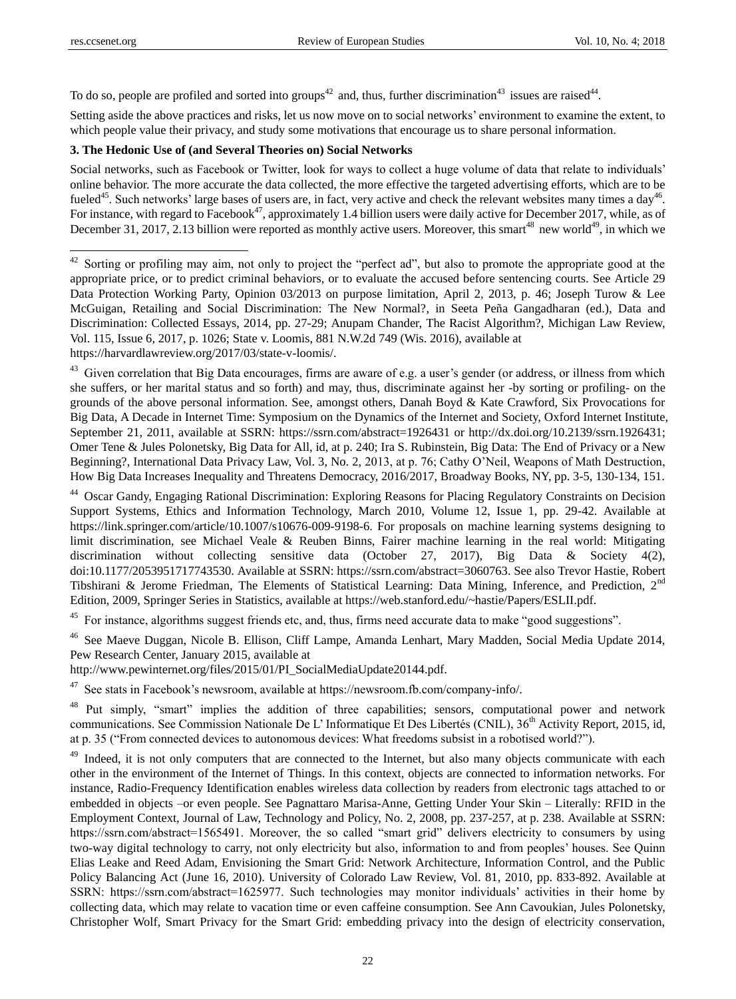To do so, people are profiled and sorted into groups<sup>42</sup> and, thus, further discrimination<sup>43</sup> issues are raised<sup>44</sup>.

Setting aside the above practices and risks, let us now move on to social networks' environment to examine the extent, to which people value their privacy, and study some motivations that encourage us to share personal information.

### **3. The Hedonic Use of (and Several Theories on) Social Networks**

Social networks, such as Facebook or Twitter, look for ways to collect a huge volume of data that relate to individuals' online behavior. The more accurate the data collected, the more effective the targeted advertising efforts, which are to be fueled<sup>45</sup>. Such networks' large bases of users are, in fact, very active and check the relevant websites many times a day<sup>46</sup>. For instance, with regard to Facebook<sup>47</sup>, approximately 1.4 billion users were daily active for December 2017, while, as of December 31, 2017, 2.13 billion were reported as monthly active users. Moreover, this smart<sup>48</sup> new world<sup>49</sup>, in which we

 $42$  Sorting or profiling may aim, not only to project the "perfect ad", but also to promote the appropriate good at the appropriate price, or to predict criminal behaviors, or to evaluate the accused before sentencing courts. See Article 29 Data Protection Working Party, Opinion 03/2013 on purpose limitation, April 2, 2013, p. 46; Joseph Turow & Lee McGuigan, Retailing and Social Discrimination: The New Normal?, in Seeta Peña Gangadharan (ed.), Data and Discrimination: Collected Essays, 2014, pp. 27-29; Anupam Chander, The Racist Algorithm?, Michigan Law Review, Vol. 115, Issue 6, 2017, p. 1026; State v. Loomis, 881 N.W.2d 749 (Wis. 2016), available at https://harvardlawreview.org/2017/03/state-v-loomis/.

<sup>43</sup> Given correlation that Big Data encourages, firms are aware of e.g. a user's gender (or address, or illness from which she suffers, or her marital status and so forth) and may, thus, discriminate against her -by sorting or profiling- on the grounds of the above personal information. See, amongst others, Danah Boyd & Kate Crawford, Six Provocations for Big Data, A Decade in Internet Time: Symposium on the Dynamics of the Internet and Society, Oxford Internet Institute, September 21, 2011, available at SSRN: https://ssrn.com/abstract=1926431 or http://dx.doi.org/10.2139/ssrn.1926431; Omer Tene & Jules Polonetsky, Big Data for All, id, at p. 240; Ira S. Rubinstein, Big Data: The End of Privacy or a New Beginning?, International Data Privacy Law, Vol. 3, No. 2, 2013, at p. 76; Cathy O'Neil, Weapons of Math Destruction, How Big Data Increases Inequality and Threatens Democracy, 2016/2017, Broadway Books, NY, pp. 3-5, 130-134, 151.

<sup>44</sup> Oscar Gandy, Engaging Rational Discrimination: Exploring Reasons for Placing Regulatory Constraints on Decision Support Systems, Ethics and Information Technology, March 2010, Volume 12, Issue 1, pp. 29-42. Available at https://link.springer.com/article/10.1007/s10676-009-9198-6. For proposals on machine learning systems designing to limit discrimination, see Michael Veale & Reuben Binns, Fairer machine learning in the real world: Mitigating discrimination without collecting sensitive data (October 27, 2017), Big Data & Society 4(2), doi:10.1177/2053951717743530. Available at SSRN: https://ssrn.com/abstract=3060763. See also Trevor Hastie, Robert Tibshirani & Jerome Friedman, The Elements of Statistical Learning: Data Mining, Inference, and Prediction, 2nd Edition, 2009, Springer Series in Statistics, available at https://web.stanford.edu/~hastie/Papers/ESLII.pdf.

<sup>45</sup> For instance, algorithms suggest friends etc, and, thus, firms need accurate data to make "good suggestions".

<sup>46</sup> See Maeve Duggan, Nicole B. Ellison, Cliff Lampe, Amanda Lenhart, Mary Madden, Social Media Update 2014, Pew Research Center, January 2015, available at

http://www.pewinternet.org/files/2015/01/PI\_SocialMediaUpdate20144.pdf.

<sup>47</sup> See stats in Facebook's newsroom, available at https://newsroom.fb.com/company-info/.

<sup>48</sup> Put simply, "smart" implies the addition of three capabilities; sensors, computational power and network communications. See Commission Nationale De L' Informatique Et Des Libertés (CNIL), 36<sup>th</sup> Activity Report, 2015, id, at p. 35 ("From connected devices to autonomous devices: What freedoms subsist in a robotised world?").

<sup>49</sup> Indeed, it is not only computers that are connected to the Internet, but also many objects communicate with each other in the environment of the Internet of Things. In this context, objects are connected to information networks. For instance, Radio-Frequency Identification enables wireless data collection by readers from electronic tags attached to or embedded in objects –or even people. See Pagnattaro Marisa-Anne, Getting Under Your Skin – Literally: RFID in the Employment Context, Journal of Law, Technology and Policy, No. 2, 2008, pp. 237-257, at p. 238. Available at SSRN: https://ssrn.com/abstract=1565491. Moreover, the so called "smart grid" delivers electricity to consumers by using two-way digital technology to carry, not only electricity but also, information to and from peoples' houses. See Quinn Elias Leake and Reed Adam, Envisioning the Smart Grid: Network Architecture, Information Control, and the Public Policy Balancing Act (June 16, 2010). University of Colorado Law Review, Vol. 81, 2010, pp. 833-892. Available at SSRN: https://ssrn.com/abstract=1625977. Such technologies may monitor individuals' activities in their home by collecting data, which may relate to vacation time or even caffeine consumption. See Ann Cavoukian, Jules Polonetsky, Christopher Wolf, Smart Privacy for the Smart Grid: embedding privacy into the design of electricity conservation,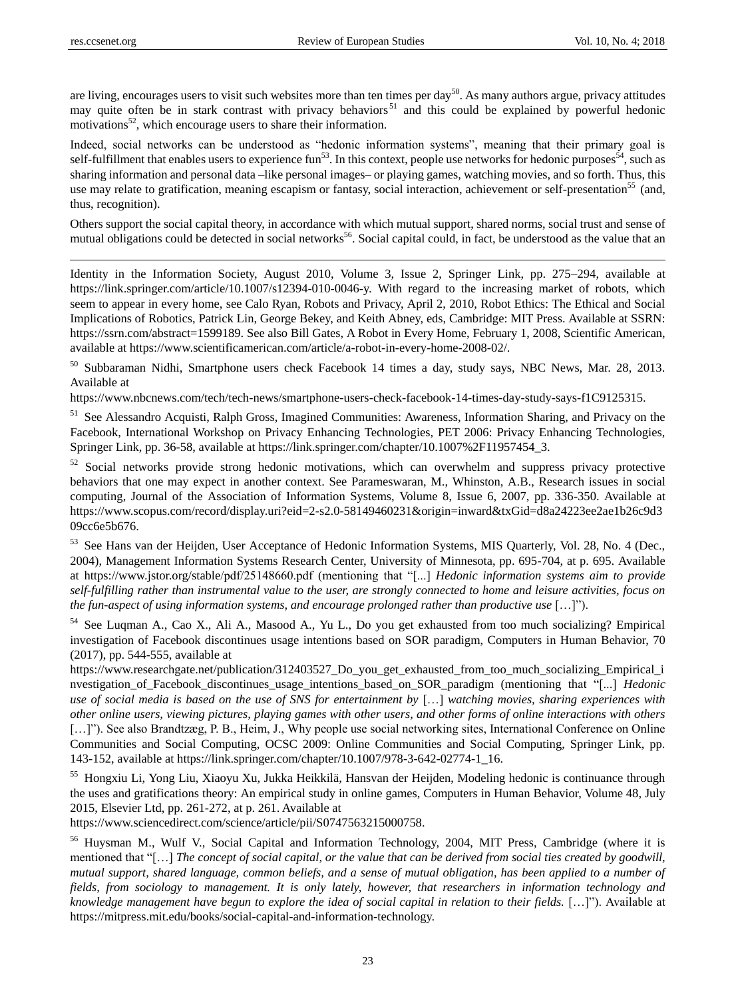are living, encourages users to visit such websites more than ten times per day<sup>50</sup>. As many authors argue, privacy attitudes may quite often be in stark contrast with privacy behaviors<sup>51</sup> and this could be explained by powerful hedonic motivations<sup>52</sup>, which encourage users to share their information.

Indeed, social networks can be understood as "hedonic information systems", meaning that their primary goal is self-fulfillment that enables users to experience fun<sup>53</sup>. In this context, people use networks for hedonic purposes<sup>54</sup>, such as sharing information and personal data –like personal images– or playing games, watching movies, and so forth. Thus, this use may relate to gratification, meaning escapism or fantasy, social interaction, achievement or self-presentation<sup>55</sup> (and, thus, recognition).

Others support the social capital theory, in accordance with which mutual support, shared norms, social trust and sense of mutual obligations could be detected in social networks<sup>56</sup>. Social capital could, in fact, be understood as the value that an

Identity in the Information Society, August 2010, Volume 3, Issue 2, Springer Link, pp. 275–294, available at https://link.springer.com/article/10.1007/s12394-010-0046-y. With regard to the increasing market of robots, which seem to appear in every home, see Calo Ryan, Robots and Privacy, April 2, 2010, Robot Ethics: The Ethical and Social Implications of Robotics, Patrick Lin, George Bekey, and Keith Abney, eds, Cambridge: MIT Press. Available at SSRN: https://ssrn.com/abstract=1599189. See also Bill Gates, A Robot in Every Home, February 1, 2008, Scientific American, available at https://www.scientificamerican.com/article/a-robot-in-every-home-2008-02/.

<sup>50</sup> Subbaraman Nidhi, Smartphone users check Facebook 14 times a day, study says, NBC News, Mar. 28, 2013. Available at

https://www.nbcnews.com/tech/tech-news/smartphone-users-check-facebook-14-times-day-study-says-f1C9125315.

<sup>51</sup> See Alessandro Acquisti, Ralph Gross, Imagined Communities: Awareness, Information Sharing, and Privacy on the Facebook, International Workshop on Privacy Enhancing Technologies, PET 2006: Privacy Enhancing Technologies, Springer Link, pp. 36-58, available at https://link.springer.com/chapter/10.1007%2F11957454\_3.

<sup>52</sup> Social networks provide strong hedonic motivations, which can overwhelm and suppress privacy protective behaviors that one may expect in another context. See Parameswaran, M., Whinston, A.B., Research issues in social computing, Journal of the Association of Information Systems, Volume 8, Issue 6, 2007, pp. 336-350. Available at https://www.scopus.com/record/display.uri?eid=2-s2.0-58149460231&origin=inward&txGid=d8a24223ee2ae1b26c9d3 09cc6e5b676.

53 See Hans van der Heijden, User Acceptance of Hedonic Information Systems, MIS Quarterly, Vol. 28, No. 4 (Dec., 2004), Management Information Systems Research Center, University of Minnesota, pp. 695-704, at p. 695. Available at https://www.jstor.org/stable/pdf/25148660.pdf (mentioning that "[...] *Hedonic information systems aim to provide self-fulfilling rather than instrumental value to the user, are strongly connected to home and leisure activities, focus on the fun-aspect of using information systems, and encourage prolonged rather than productive use* […]").

<sup>54</sup> See Luqman A., Cao X., Ali A., Masood A., Yu L., Do you get exhausted from too much socializing? Empirical investigation of Facebook discontinues usage intentions based on SOR paradigm, Computers in Human Behavior, 70 (2017), pp. 544-555, available at

https://www.researchgate.net/publication/312403527\_Do\_you\_get\_exhausted\_from\_too\_much\_socializing\_Empirical\_i nvestigation of Facebook discontinues usage intentions based on SOR paradigm (mentioning that "[...] *Hedonic use of social media is based on the use of SNS for entertainment by* […] *watching movies, sharing experiences with other online users, viewing pictures, playing games with other users, and other forms of online interactions with others* [...]"). See also Brandtzæg, P. B., Heim, J., Why people use social networking sites, International Conference on Online Communities and Social Computing, OCSC 2009: Online Communities and Social Computing, Springer Link, pp. 143-152, available at https://link.springer.com/chapter/10.1007/978-3-642-02774-1\_16.

<sup>55</sup> Hongxiu Li, Yong Liu, Xiaoyu Xu, Jukka Heikkilä, Hansvan der Heijden, Modeling hedonic is continuance through the uses and gratifications theory: An empirical study in online games, Computers in Human Behavior, Volume 48, July 2015, Elsevier Ltd, pp. 261-272, at p. 261. Available at

https://www.sciencedirect.com/science/article/pii/S0747563215000758.

<sup>56</sup> Huysman M., Wulf V., Social Capital and Information Technology, 2004, MIT Press, Cambridge (where it is mentioned that "[...] *The concept of social capital, or the value that can be derived from social ties created by goodwill, mutual support, shared language, common beliefs, and a sense of mutual obligation, has been applied to a number of fields, from sociology to management. It is only lately, however, that researchers in information technology and knowledge management have begun to explore the idea of social capital in relation to their fields.* […]‖). Available at https://mitpress.mit.edu/books/social-capital-and-information-technology.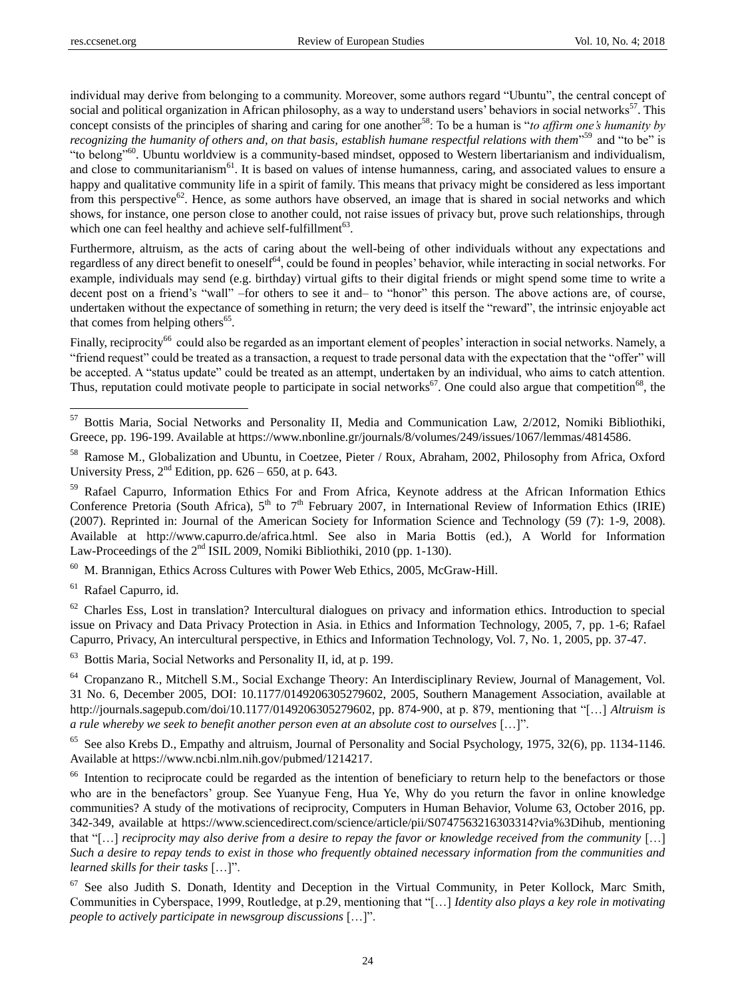individual may derive from belonging to a community. Moreover, some authors regard "Ubuntu", the central concept of social and political organization in African philosophy, as a way to understand users' behaviors in social networks $57$ . This concept consists of the principles of sharing and caring for one another<sup>58</sup>: To be a human is "*to affirm one's humanity by recognizing the humanity of others and, on that basis, establish humane respectful relations with them*<sup>559</sup> and "to be" is "to belong"<sup>60</sup>. Ubuntu worldview is a community-based mindset, opposed to Western libertarianism and individualism, and close to communitarianism<sup>61</sup>. It is based on values of intense humanness, caring, and associated values to ensure a happy and qualitative community life in a spirit of family. This means that privacy might be considered as less important from this perspective<sup>62</sup>. Hence, as some authors have observed, an image that is shared in social networks and which shows, for instance, one person close to another could, not raise issues of privacy but, prove such relationships, through which one can feel healthy and achieve self-fulfillment<sup>63</sup>.

Furthermore, altruism, as the acts of caring about the well-being of other individuals without any expectations and regardless of any direct benefit to oneself<sup>64</sup>, could be found in peoples' behavior, while interacting in social networks. For example, individuals may send (e.g. birthday) virtual gifts to their digital friends or might spend some time to write a decent post on a friend's "wall" –for others to see it and– to "honor" this person. The above actions are, of course, undertaken without the expectance of something in return; the very deed is itself the "reward", the intrinsic enjoyable act that comes from helping others $^{65}$ .

Finally, reciprocity<sup>66</sup> could also be regarded as an important element of peoples' interaction in social networks. Namely, a "friend request" could be treated as a transaction, a request to trade personal data with the expectation that the "offer" will be accepted. A "status update" could be treated as an attempt, undertaken by an individual, who aims to catch attention. Thus, reputation could motivate people to participate in social networks<sup>67</sup>. One could also argue that competition<sup>68</sup>, the

 $60$  M. Brannigan, Ethics Across Cultures with Power Web Ethics, 2005, McGraw-Hill.

<sup>61</sup> Rafael Capurro, id.

 $\ddot{ }$ 

 $62$  Charles Ess, Lost in translation? Intercultural dialogues on privacy and information ethics. Introduction to special issue on Privacy and Data Privacy Protection in Asia. in Ethics and Information Technology, 2005, 7, pp. 1-6; Rafael Capurro, Privacy, An intercultural perspective, in Ethics and Information Technology, Vol. 7, No. 1, 2005, pp. 37-47.

<sup>63</sup> Bottis Maria, Social Networks and Personality II, id, at p. 199.

<sup>64</sup> Cropanzano R., Mitchell S.M., Social Exchange Theory: An Interdisciplinary Review, Journal of Management, Vol. 31 No. 6, December 2005, DOI: 10.1177/0149206305279602, 2005, Southern Management Association, available at http://journals.sagepub.com/doi/10.1177/0149206305279602, pp. 874-900, at p. 879, mentioning that "[...] *Altruism is a rule whereby we seek to benefit another person even at an absolute cost to ourselves* [...]".

<sup>65</sup> See also Krebs D., Empathy and altruism, Journal of Personality and Social Psychology, 1975, 32(6), pp. 1134-1146. Available at https://www.ncbi.nlm.nih.gov/pubmed/1214217.

<sup>66</sup> Intention to reciprocate could be regarded as the intention of beneficiary to return help to the benefactors or those who are in the benefactors' group. See Yuanyue Feng, Hua Ye, Why do you return the favor in online knowledge communities? A study of the motivations of reciprocity, Computers in Human Behavior, Volume 63, October 2016, pp. 342-349, available at https://www.sciencedirect.com/science/article/pii/S0747563216303314?via%3Dihub, mentioning that "[...] *reciprocity may also derive from a desire to repay the favor or knowledge received from the community* [...] *Such a desire to repay tends to exist in those who frequently obtained necessary information from the communities and learned skills for their tasks* [...]".

<sup>67</sup> See also Judith S. Donath, Identity and Deception in the Virtual Community, in Peter Kollock, Marc Smith, Communities in Cyberspace, 1999, Routledge, at p.29, mentioning that "[...] *Identity also plays a key role in motivating people to actively participate in newsgroup discussions*  $[...]$ .

<sup>&</sup>lt;sup>57</sup> Bottis Maria, Social Networks and Personality II, Media and Communication Law, 2/2012, Nomiki Bibliothiki, Greece, pp. 196-199. Available at https://www.nbonline.gr/journals/8/volumes/249/issues/1067/lemmas/4814586.

<sup>&</sup>lt;sup>58</sup> Ramose M., Globalization and Ubuntu, in Coetzee, Pieter / Roux, Abraham, 2002, Philosophy from Africa, Oxford University Press,  $2<sup>nd</sup>$  Edition, pp. 626 – 650, at p. 643.

<sup>&</sup>lt;sup>59</sup> Rafael Capurro, Information Ethics For and From Africa, Keynote address at the African Information Ethics Conference Pretoria (South Africa), 5<sup>th</sup> to 7<sup>th</sup> February 2007, in International Review of Information Ethics (IRIE) (2007). Reprinted in: Journal of the American Society for Information Science and Technology (59 (7): 1-9, 2008). Available at http://www.capurro.de/africa.html. See also in Maria Bottis (ed.), A World for Information Law-Proceedings of the 2<sup>nd</sup> ISIL 2009, Nomiki Bibliothiki, 2010 (pp. 1-130).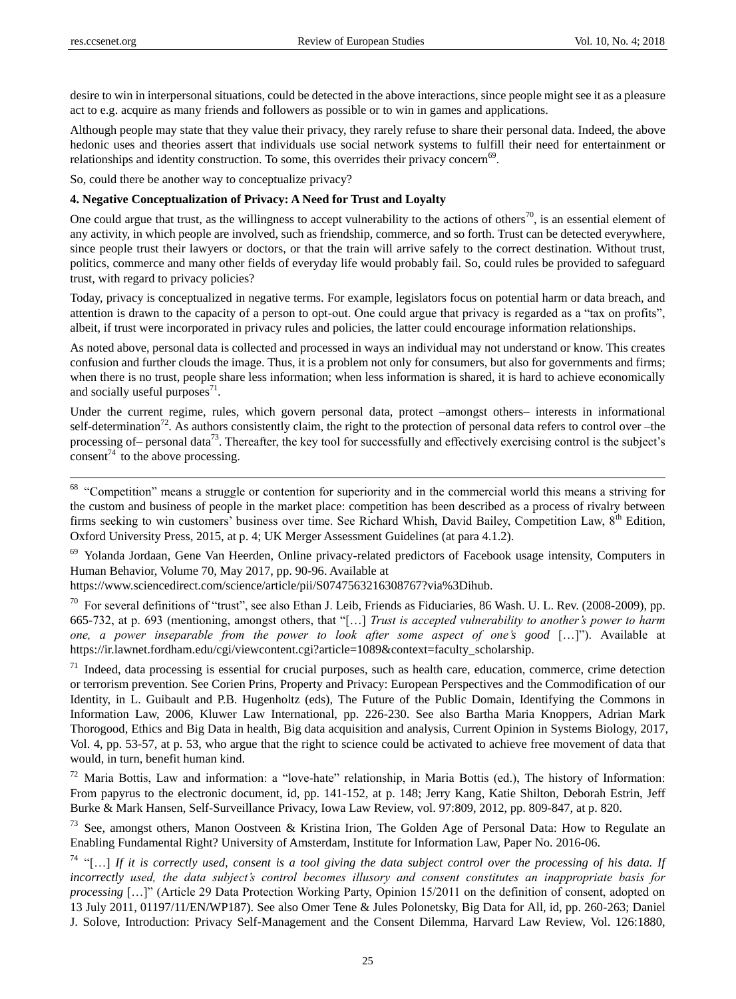desire to win in interpersonal situations, could be detected in the above interactions, since people might see it as a pleasure act to e.g. acquire as many friends and followers as possible or to win in games and applications.

Although people may state that they value their privacy, they rarely refuse to share their personal data. Indeed, the above hedonic uses and theories assert that individuals use social network systems to fulfill their need for entertainment or relationships and identity construction. To some, this overrides their privacy concern<sup>69</sup>.

So, could there be another way to conceptualize privacy?

#### **4. Negative Conceptualization of Privacy: A Need for Trust and Loyalty**

One could argue that trust, as the willingness to accept vulnerability to the actions of others<sup>70</sup>, is an essential element of any activity, in which people are involved, such as friendship, commerce, and so forth. Trust can be detected everywhere, since people trust their lawyers or doctors, or that the train will arrive safely to the correct destination. Without trust, politics, commerce and many other fields of everyday life would probably fail. So, could rules be provided to safeguard trust, with regard to privacy policies?

Today, privacy is conceptualized in negative terms. For example, legislators focus on potential harm or data breach, and attention is drawn to the capacity of a person to opt-out. One could argue that privacy is regarded as a "tax on profits", albeit, if trust were incorporated in privacy rules and policies, the latter could encourage information relationships.

As noted above, personal data is collected and processed in ways an individual may not understand or know. This creates confusion and further clouds the image. Thus, it is a problem not only for consumers, but also for governments and firms; when there is no trust, people share less information; when less information is shared, it is hard to achieve economically and socially useful purposes $^{71}$ .

Under the current regime, rules, which govern personal data, protect –amongst others– interests in informational self-determination<sup>72</sup>. As authors consistently claim, the right to the protection of personal data refers to control over –the processing of– personal data<sup>73</sup>. Thereafter, the key tool for successfully and effectively exercising control is the subject's consent<sup>74</sup> to the above processing.

<sup>68</sup> "Competition" means a struggle or contention for superiority and in the commercial world this means a striving for the custom and business of people in the market place: competition has been described as a process of rivalry between firms seeking to win customers' business over time. See Richard Whish, David Bailey, Competition Law, 8<sup>th</sup> Edition, Oxford University Press, 2015, at p. 4; UK Merger Assessment Guidelines (at para 4.1.2).

<sup>69</sup> Yolanda Jordaan, Gene Van Heerden, Online privacy-related predictors of Facebook usage intensity, Computers in Human Behavior, Volume 70, May 2017, pp. 90-96. Available at

https://www.sciencedirect.com/science/article/pii/S0747563216308767?via%3Dihub.

 $70$  For several definitions of "trust", see also Ethan J. Leib, Friends as Fiduciaries, 86 Wash. U. L. Rev. (2008-2009), pp. 665-732, at p. 693 (mentioning, amongst others, that "[...] *Trust is accepted vulnerability to another's power to harm one, a power inseparable from the power to look after some aspect of one's good* […]"). Available at https://ir.lawnet.fordham.edu/cgi/viewcontent.cgi?article=1089&context=faculty\_scholarship.

 $71$  Indeed, data processing is essential for crucial purposes, such as health care, education, commerce, crime detection or terrorism prevention. See Corien Prins, Property and Privacy: European Perspectives and the Commodification of our Identity, in L. Guibault and P.B. Hugenholtz (eds), The Future of the Public Domain, Identifying the Commons in Information Law, 2006, Kluwer Law International, pp. 226-230. See also Bartha Maria Knoppers, Adrian Mark Thorogood, Ethics and Big Data in health, Big data acquisition and analysis, Current Opinion in Systems Biology, 2017, Vol. 4, pp. 53-57, at p. 53, who argue that the right to science could be activated to achieve free movement of data that would, in turn, benefit human kind.

 $72$  Maria Bottis, Law and information: a "love-hate" relationship, in Maria Bottis (ed.), The history of Information: From papyrus to the electronic document, id, pp. 141-152, at p. 148; Jerry Kang, Katie Shilton, Deborah Estrin, Jeff Burke & Mark Hansen, Self-Surveillance Privacy, Iowa Law Review, vol. 97:809, 2012, pp. 809-847, at p. 820.

<sup>73</sup> See, amongst others, Manon Oostveen & Kristina Irion, The Golden Age of Personal Data: How to Regulate an Enabling Fundamental Right? University of Amsterdam, Institute for Information Law, Paper No. 2016-06.

<sup>74</sup> ―[…] *If it is correctly used, consent is a tool giving the data subject control over the processing of his data. If*  incorrectly used, the data subject's control becomes illusory and consent constitutes an inappropriate basis for *processing* [...]" (Article 29 Data Protection Working Party, Opinion 15/2011 on the definition of consent, adopted on 13 July 2011, 01197/11/EN/WP187). See also Omer Tene & Jules Polonetsky, Big Data for All, id, pp. 260-263; Daniel J. Solove, Introduction: Privacy Self-Management and the Consent Dilemma, Harvard Law Review, Vol. 126:1880,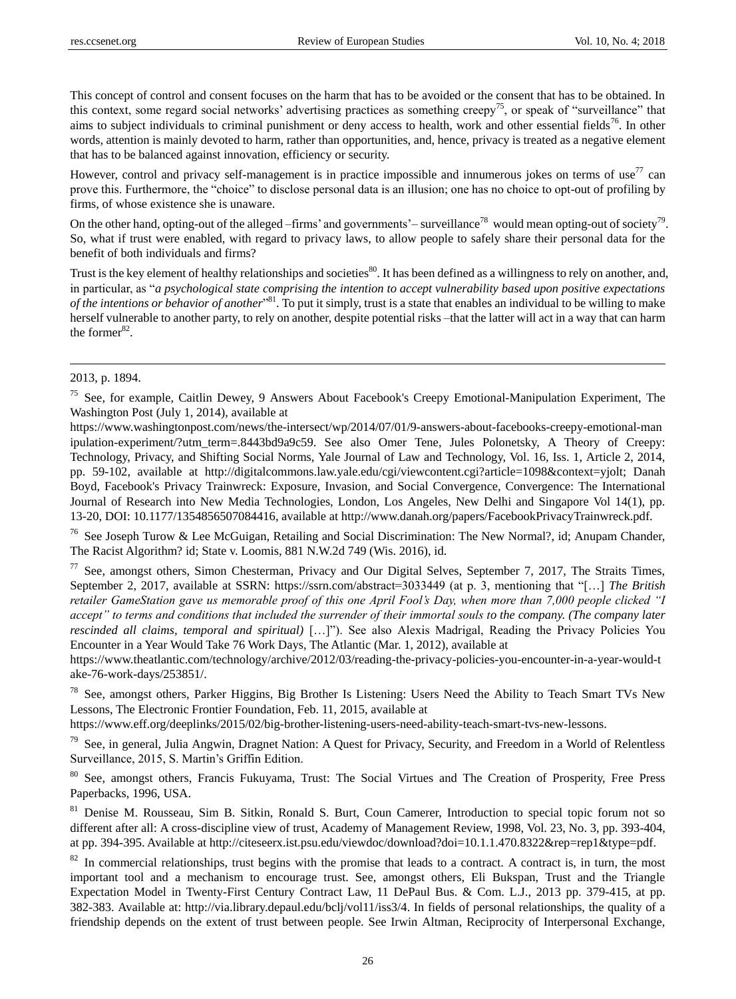This concept of control and consent focuses on the harm that has to be avoided or the consent that has to be obtained. In this context, some regard social networks' advertising practices as something creepy<sup>75</sup>, or speak of "surveillance" that aims to subject individuals to criminal punishment or deny access to health, work and other essential fields<sup>76</sup>. In other words, attention is mainly devoted to harm, rather than opportunities, and, hence, privacy is treated as a negative element that has to be balanced against innovation, efficiency or security.

However, control and privacy self-management is in practice impossible and innumerous jokes on terms of use $^{77}$  can prove this. Furthermore, the "choice" to disclose personal data is an illusion; one has no choice to opt-out of profiling by firms, of whose existence she is unaware.

On the other hand, opting-out of the alleged –firms' and governments'– surveillance<sup>78</sup> would mean opting-out of society<sup>79</sup>. So, what if trust were enabled, with regard to privacy laws, to allow people to safely share their personal data for the benefit of both individuals and firms?

Trust is the key element of healthy relationships and societies $^{80}$ . It has been defined as a willingness to rely on another, and, in particular, as "*a psychological state comprising the intention to accept vulnerability based upon positive expectations* of the intentions or behavior of another<sup>381</sup>. To put it simply, trust is a state that enables an individual to be willing to make herself vulnerable to another party, to rely on another, despite potential risks –that the latter will act in a way that can harm the former $^{82}$ .

# 2013, p. 1894.

 $\ddot{ }$ 

https://www.washingtonpost.com/news/the-intersect/wp/2014/07/01/9-answers-about-facebooks-creepy-emotional-man ipulation-experiment/?utm\_term=.8443bd9a9c59. See also Omer Tene, Jules Polonetsky, A Theory of Creepy: Technology, Privacy, and Shifting Social Norms, Yale Journal of Law and Technology, Vol. 16, Iss. 1, Article 2, 2014, pp. 59-102, available at http://digitalcommons.law.yale.edu/cgi/viewcontent.cgi?article=1098&context=yjolt; Danah Boyd, Facebook's Privacy Trainwreck: Exposure, Invasion, and Social Convergence, Convergence: The International Journal of Research into New Media Technologies, London, Los Angeles, New Delhi and Singapore Vol 14(1), pp. 13-20, DOI: 10.1177/1354856507084416, available at http://www.danah.org/papers/FacebookPrivacyTrainwreck.pdf.

<sup>76</sup> See Joseph Turow & Lee McGuigan, Retailing and Social Discrimination: The New Normal?, id; Anupam Chander, The Racist Algorithm? id; State v. Loomis, 881 N.W.2d 749 (Wis. 2016), id.

 $77$  See, amongst others, Simon Chesterman, Privacy and Our Digital Selves, September 7, 2017, The Straits Times, September 2, 2017, available at SSRN: https://ssrn.com/abstract=3033449 (at p. 3, mentioning that "[...] *The British retailer GameStation gave us memorable proof of this one April Fool"s Day, when more than 7,000 people clicked "I accept" to terms and conditions that included the surrender of their immortal souls to the company. (The company later rescinded all claims, temporal and spiritual*) […]"). See also Alexis Madrigal, Reading the Privacy Policies You Encounter in a Year Would Take 76 Work Days, The Atlantic (Mar. 1, 2012), available at

https://www.theatlantic.com/technology/archive/2012/03/reading-the-privacy-policies-you-encounter-in-a-year-would-t ake-76-work-days/253851/.

<sup>78</sup> See, amongst others, Parker Higgins, Big Brother Is Listening: Users Need the Ability to Teach Smart TVs New Lessons, The Electronic Frontier Foundation, Feb. 11, 2015, available at

https://www.eff.org/deeplinks/2015/02/big-brother-listening-users-need-ability-teach-smart-tvs-new-lessons.

<sup>79</sup> See, in general, Julia Angwin, Dragnet Nation: A Quest for Privacy, Security, and Freedom in a World of Relentless Surveillance, 2015, S. Martin's Griffin Edition.

<sup>80</sup> See, amongst others, Francis Fukuyama, Trust: The Social Virtues and The Creation of Prosperity, Free Press Paperbacks, 1996, USA.

<sup>81</sup> Denise M. Rousseau, Sim B. Sitkin, Ronald S. Burt, Coun Camerer, Introduction to special topic forum not so different after all: A cross-discipline view of trust, Academy of Management Review, 1998, Vol. 23, No. 3, pp. 393-404, at pp. 394-395. Available at http://citeseerx.ist.psu.edu/viewdoc/download?doi=10.1.1.470.8322&rep=rep1&type=pdf.

 $82$  In commercial relationships, trust begins with the promise that leads to a contract. A contract is, in turn, the most important tool and a mechanism to encourage trust. See, amongst others, Eli Bukspan, Trust and the Triangle Expectation Model in Twenty-First Century Contract Law, 11 DePaul Bus. & Com. L.J., 2013 pp. 379-415, at pp. 382-383. Available at: http://via.library.depaul.edu/bclj/vol11/iss3/4. In fields of personal relationships, the quality of a friendship depends on the extent of trust between people. See Irwin Altman, Reciprocity of Interpersonal Exchange,

<sup>&</sup>lt;sup>75</sup> See, for example, Caitlin Dewey, 9 Answers About Facebook's Creepy Emotional-Manipulation Experiment, The Washington Post (July 1, 2014), available at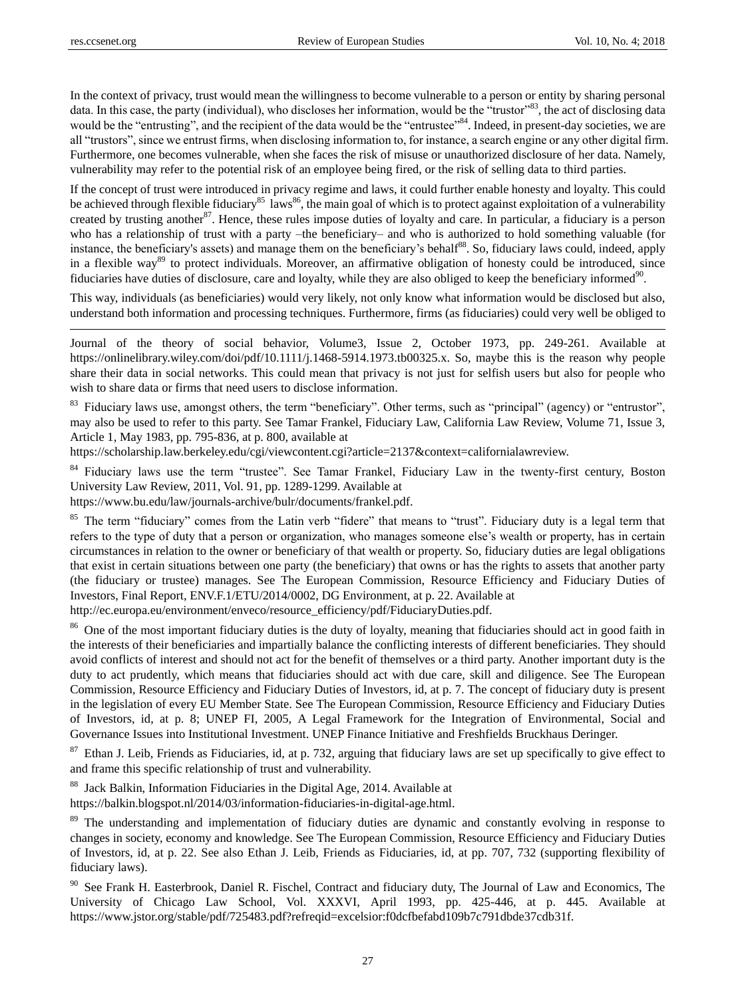In the context of privacy, trust would mean the willingness to become vulnerable to a person or entity by sharing personal data. In this case, the party (individual), who discloses her information, would be the "trustor"<sup>83</sup>, the act of disclosing data would be the "entrusting", and the recipient of the data would be the "entrustee"<sup>84</sup>. Indeed, in present-day societies, we are all "trustors", since we entrust firms, when disclosing information to, for instance, a search engine or any other digital firm. Furthermore, one becomes vulnerable, when she faces the risk of misuse or unauthorized disclosure of her data. Namely, vulnerability may refer to the potential risk of an employee being fired, or the risk of selling data to third parties.

If the concept of trust were introduced in privacy regime and laws, it could further enable honesty and loyalty. This could be achieved through flexible fiduciary<sup>85</sup> laws<sup>86</sup>, the main goal of which is to protect against exploitation of a vulnerability created by trusting another<sup>87</sup>. Hence, these rules impose duties of loyalty and care. In particular, a fiduciary is a person who has a relationship of trust with a party –the beneficiary– and who is authorized to hold something valuable (for instance, the beneficiary's assets) and manage them on the beneficiary's behalf<sup>88</sup>. So, fiduciary laws could, indeed, apply in a flexible way<sup>89</sup> to protect individuals. Moreover, an affirmative obligation of honesty could be introduced, since fiduciaries have duties of disclosure, care and loyalty, while they are also obliged to keep the beneficiary informed $90$ .

This way, individuals (as beneficiaries) would very likely, not only know what information would be disclosed but also, understand both information and processing techniques. Furthermore, firms (as fiduciaries) could very well be obliged to

Journal of the theory of social behavior, Volume3, Issue 2, October 1973, pp. 249-261. Available at https://onlinelibrary.wiley.com/doi/pdf/10.1111/j.1468-5914.1973.tb00325.x. So, maybe this is the reason why people share their data in social networks. This could mean that privacy is not just for selfish users but also for people who wish to share data or firms that need users to disclose information.

<sup>83</sup> Fiduciary laws use, amongst others, the term "beneficiary". Other terms, such as "principal" (agency) or "entrustor", may also be used to refer to this party. See Tamar Frankel, Fiduciary Law, California Law Review, Volume 71, Issue 3, Article 1, May 1983, pp. 795-836, at p. 800, available at

https://scholarship.law.berkeley.edu/cgi/viewcontent.cgi?article=2137&context=californialawreview.

84 Fiduciary laws use the term "trustee". See Tamar Frankel, Fiduciary Law in the twenty-first century, Boston University Law Review, 2011, Vol. 91, pp. 1289-1299. Available at https://www.bu.edu/law/journals-archive/bulr/documents/frankel.pdf.

<sup>85</sup> The term "fiduciary" comes from the Latin verb "fidere" that means to "trust". Fiduciary duty is a legal term that refers to the type of duty that a person or organization, who manages someone else's wealth or property, has in certain circumstances in relation to the owner or beneficiary of that wealth or property. So, fiduciary duties are legal obligations that exist in certain situations between one party (the beneficiary) that owns or has the rights to assets that another party (the fiduciary or trustee) manages. See The European Commission, Resource Efficiency and Fiduciary Duties of Investors, Final Report, ENV.F.1/ETU/2014/0002, DG Environment, at p. 22. Available at

http://ec.europa.eu/environment/enveco/resource\_efficiency/pdf/FiduciaryDuties.pdf.

<sup>86</sup> One of the most important fiduciary duties is the duty of loyalty, meaning that fiduciaries should act in good faith in the interests of their beneficiaries and impartially balance the conflicting interests of different beneficiaries. They should avoid conflicts of interest and should not act for the benefit of themselves or a third party. Another important duty is the duty to act prudently, which means that fiduciaries should act with due care, skill and diligence. See The European Commission, Resource Efficiency and Fiduciary Duties of Investors, id, at p. 7. The concept of fiduciary duty is present in the legislation of every EU Member State. See The European Commission, Resource Efficiency and Fiduciary Duties of Investors, id, at p. 8; UNEP FI, 2005, A Legal Framework for the Integration of Environmental, Social and Governance Issues into Institutional Investment. UNEP Finance Initiative and Freshfields Bruckhaus Deringer.

 $87$  Ethan J. Leib, Friends as Fiduciaries, id, at p. 732, arguing that fiduciary laws are set up specifically to give effect to and frame this specific relationship of trust and vulnerability.

<sup>88</sup> Jack Balkin, Information Fiduciaries in the Digital Age, 2014. Available at

https://balkin.blogspot.nl/2014/03/information-fiduciaries-in-digital-age.html.

<sup>89</sup> The understanding and implementation of fiduciary duties are dynamic and constantly evolving in response to changes in society, economy and knowledge. See The European Commission, Resource Efficiency and Fiduciary Duties of Investors, id, at p. 22. See also Ethan J. Leib, Friends as Fiduciaries, id, at pp. 707, 732 (supporting flexibility of fiduciary laws).

<sup>90</sup> See Frank H. Easterbrook, Daniel R. Fischel, Contract and fiduciary duty, The Journal of Law and Economics, The University of Chicago Law School, Vol. XXXVI, April 1993, pp. 425-446, at p. 445. Available at https://www.jstor.org/stable/pdf/725483.pdf?refreqid=excelsior:f0dcfbefabd109b7c791dbde37cdb31f.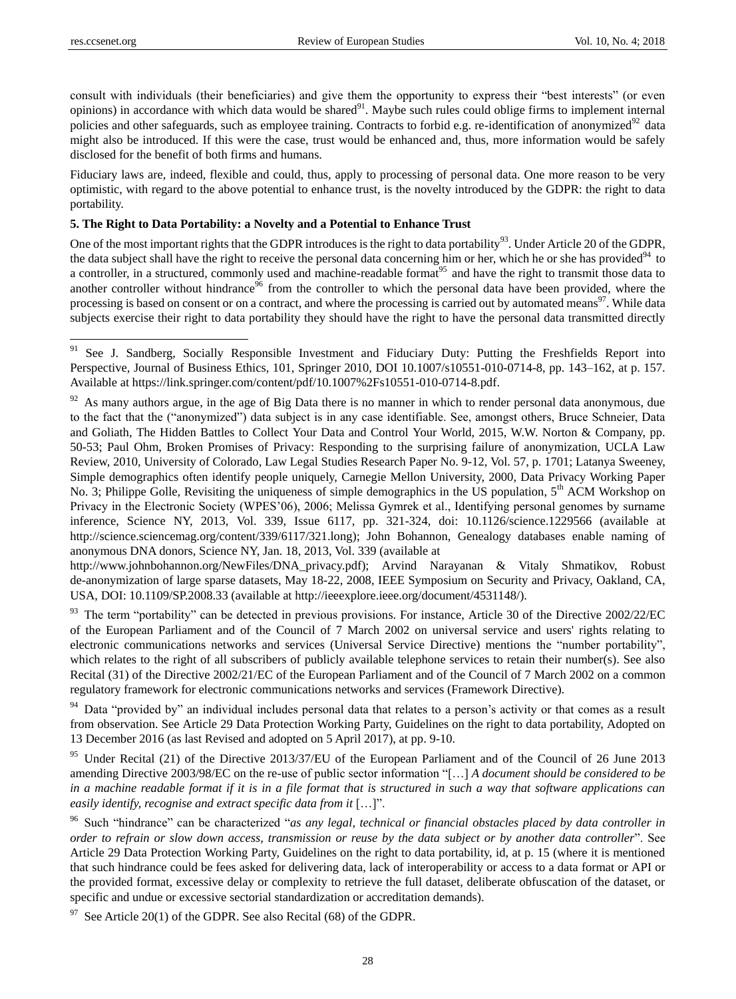consult with individuals (their beneficiaries) and give them the opportunity to express their "best interests" (or even opinions) in accordance with which data would be shared $91$ . Maybe such rules could oblige firms to implement internal policies and other safeguards, such as employee training. Contracts to forbid e.g. re-identification of anonymized $92$  data might also be introduced. If this were the case, trust would be enhanced and, thus, more information would be safely disclosed for the benefit of both firms and humans.

Fiduciary laws are, indeed, flexible and could, thus, apply to processing of personal data. One more reason to be very optimistic, with regard to the above potential to enhance trust, is the novelty introduced by the GDPR: the right to data portability.

#### **5. The Right to Data Portability: a Novelty and a Potential to Enhance Trust**

One of the most important rights that the GDPR introduces is the right to data portability<sup>93</sup>. Under Article 20 of the GDPR, the data subject shall have the right to receive the personal data concerning him or her, which he or she has provided $94$  to a controller, in a structured, commonly used and machine-readable format<sup>95</sup> and have the right to transmit those data to another controller without hindrance<sup>96</sup> from the controller to which the personal data have been provided, where the processing is based on consent or on a contract, and where the processing is carried out by automated means<sup>97</sup>. While data subjects exercise their right to data portability they should have the right to have the personal data transmitted directly

http://www.johnbohannon.org/NewFiles/DNA\_privacy.pdf); Arvind Narayanan & Vitaly Shmatikov, Robust de-anonymization of large sparse datasets, May 18-22, 2008, IEEE Symposium on Security and Privacy, Oakland, CA, USA, DOI: 10.1109/SP.2008.33 (available at http://ieeexplore.ieee.org/document/4531148/).

93 The term "portability" can be detected in previous provisions. For instance, Article 30 of the Directive 2002/22/EC of the European Parliament and of the Council of 7 March 2002 on universal service and users' rights relating to electronic communications networks and services (Universal Service Directive) mentions the "number portability", which relates to the right of all subscribers of publicly available telephone services to retain their number(s). See also Recital (31) of the Directive 2002/21/EC of the European Parliament and of the Council of 7 March 2002 on a common regulatory framework for electronic communications networks and services (Framework Directive).

<sup>94</sup> Data "provided by" an individual includes personal data that relates to a person's activity or that comes as a result from observation. See Article 29 Data Protection Working Party, Guidelines on the right to data portability, Adopted on 13 December 2016 (as last Revised and adopted on 5 April 2017), at pp. 9-10.

<sup>95</sup> Under Recital (21) of the Directive 2013/37/EU of the European Parliament and of the Council of 26 June 2013 amending Directive 2003/98/EC on the re-use of public sector information "[...] *A document should be considered to be in a machine readable format if it is in a file format that is structured in such a way that software applications can easily identify, recognise and extract specific data from it* [...]".

<sup>96</sup> Such "hindrance" can be characterized "*as any legal, technical or financial obstacles placed by data controller in order to refrain or slow down access, transmission or reuse by the data subject or by another data controller*". See Article 29 Data Protection Working Party, Guidelines on the right to data portability, id, at p. 15 (where it is mentioned that such hindrance could be fees asked for delivering data, lack of interoperability or access to a data format or API or the provided format, excessive delay or complexity to retrieve the full dataset, deliberate obfuscation of the dataset, or specific and undue or excessive sectorial standardization or accreditation demands).

 $97$  See Article 20(1) of the GDPR. See also Recital (68) of the GDPR.

<sup>&</sup>lt;sup>91</sup> See J. Sandberg, Socially Responsible Investment and Fiduciary Duty: Putting the Freshfields Report into Perspective, Journal of Business Ethics, 101, Springer 2010, DOI 10.1007/s10551-010-0714-8, pp. 143–162, at p. 157. Available at https://link.springer.com/content/pdf/10.1007%2Fs10551-010-0714-8.pdf.

 $92$  As many authors argue, in the age of Big Data there is no manner in which to render personal data anonymous, due to the fact that the ("anonymized") data subject is in any case identifiable. See, amongst others, Bruce Schneier, Data and Goliath, The Hidden Battles to Collect Your Data and Control Your World, 2015, W.W. Norton & Company, pp. 50-53; Paul Ohm, Broken Promises of Privacy: Responding to the surprising failure of anonymization, UCLA Law Review, 2010, University of Colorado, Law Legal Studies Research Paper No. 9-12, Vol. 57, p. 1701; Latanya Sweeney, Simple demographics often identify people uniquely, Carnegie Mellon University, 2000, Data Privacy Working Paper No. 3; Philippe Golle, Revisiting the uniqueness of simple demographics in the US population, 5<sup>th</sup> ACM Workshop on Privacy in the Electronic Society (WPES'06), 2006; Melissa Gymrek et al., Identifying personal genomes by surname inference, Science NY, 2013, Vol. 339, Issue 6117, pp. 321-324, doi: 10.1126/science.1229566 (available at http://science.sciencemag.org/content/339/6117/321.long); John Bohannon, Genealogy databases enable naming of anonymous DNA donors, Science NY, Jan. 18, 2013, Vol. 339 (available at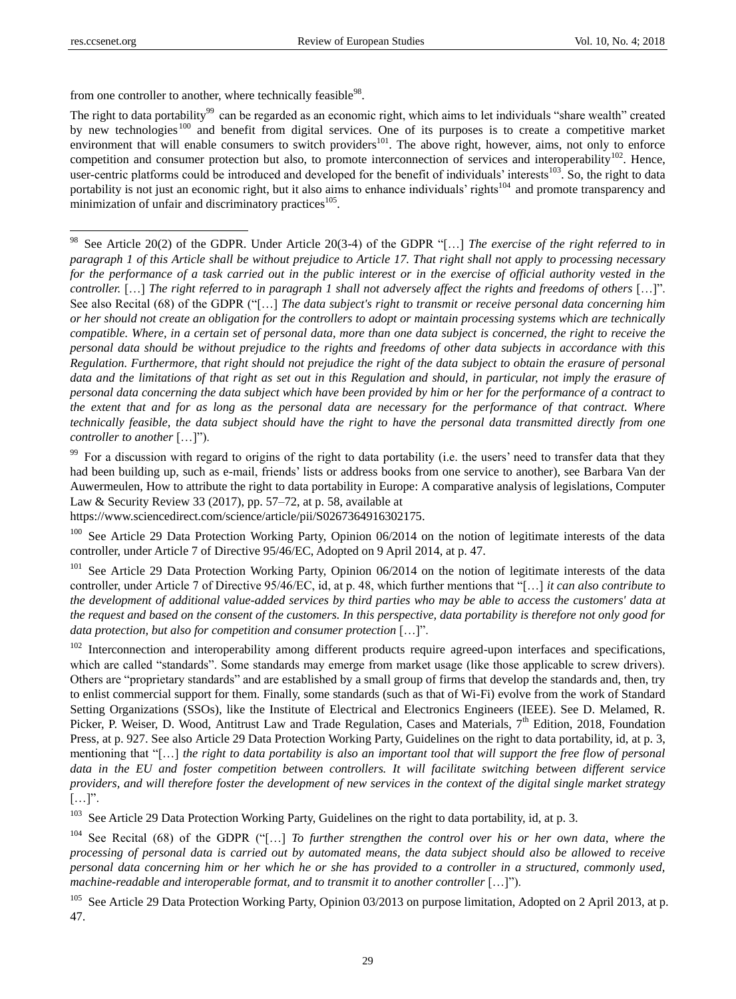from one controller to another, where technically feasible<sup>98</sup>.

The right to data portability<sup>99</sup> can be regarded as an economic right, which aims to let individuals "share wealth" created by new technologies<sup>100</sup> and benefit from digital services. One of its purposes is to create a competitive market environment that will enable consumers to switch providers<sup>101</sup>. The above right, however, aims, not only to enforce competition and consumer protection but also, to promote interconnection of services and interoperability<sup>102</sup>. Hence, user-centric platforms could be introduced and developed for the benefit of individuals' interests<sup>103</sup>. So, the right to data portability is not just an economic right, but it also aims to enhance individuals' rights<sup>104</sup> and promote transparency and minimization of unfair and discriminatory practices<sup>105</sup>.

<sup>98</sup> See Article 20(2) of the GDPR. Under Article 20(3-4) of the GDPR "[...] *The exercise of the right referred to in paragraph 1 of this Article shall be without prejudice to Article 17. That right shall not apply to processing necessary for the performance of a task carried out in the public interest or in the exercise of official authority vested in the controller.* […] *The right referred to in paragraph 1 shall not adversely affect the rights and freedoms of others* […]". See also Recital (68) of the GDPR ("[...] *The data subject's right to transmit or receive personal data concerning him or her should not create an obligation for the controllers to adopt or maintain processing systems which are technically compatible. Where, in a certain set of personal data, more than one data subject is concerned, the right to receive the personal data should be without prejudice to the rights and freedoms of other data subjects in accordance with this Regulation. Furthermore, that right should not prejudice the right of the data subject to obtain the erasure of personal*  data and the limitations of that right as set out in this Regulation and should, in particular, not imply the erasure of *personal data concerning the data subject which have been provided by him or her for the performance of a contract to the extent that and for as long as the personal data are necessary for the performance of that contract. Where technically feasible, the data subject should have the right to have the personal data transmitted directly from one controller to another* [...]").

<sup>99</sup> For a discussion with regard to origins of the right to data portability (i.e. the users' need to transfer data that they had been building up, such as e-mail, friends' lists or address books from one service to another), see Barbara Van der Auwermeulen, How to attribute the right to data portability in Europe: A comparative analysis of legislations, Computer Law & Security Review 33 (2017), pp. 57–72, at p. 58, available at

https://www.sciencedirect.com/science/article/pii/S0267364916302175.

 $100$  See Article 29 Data Protection Working Party, Opinion 06/2014 on the notion of legitimate interests of the data controller, under Article 7 of Directive 95/46/EC, Adopted on 9 April 2014, at p. 47.

<sup>101</sup> See Article 29 Data Protection Working Party, Opinion 06/2014 on the notion of legitimate interests of the data controller, under Article 7 of Directive 95/46/EC, id, at p. 48, which further mentions that "[...] *it can also contribute to the development of additional value-added services by third parties who may be able to access the customers' data at the request and based on the consent of the customers. In this perspective, data portability is therefore not only good for data protection, but also for competition and consumer protection* [...]".

 $102$  Interconnection and interoperability among different products require agreed-upon interfaces and specifications, which are called "standards". Some standards may emerge from market usage (like those applicable to screw drivers). Others are "proprietary standards" and are established by a small group of firms that develop the standards and, then, try to enlist commercial support for them. Finally, some standards (such as that of Wi-Fi) evolve from the work of Standard Setting Organizations (SSOs), like the Institute of Electrical and Electronics Engineers (IEEE). See D. Melamed, R. Picker, P. Weiser, D. Wood, Antitrust Law and Trade Regulation, Cases and Materials,  $7<sup>th</sup>$  Edition, 2018, Foundation Press, at p. 927. See also Article 29 Data Protection Working Party, Guidelines on the right to data portability, id, at p. 3, mentioning that "[...] *the right to data portability is also an important tool that will support the free flow of personal data in the EU and foster competition between controllers. It will facilitate switching between different service providers, and will therefore foster the development of new services in the context of the digital single market strategy*  $[\ldots]$ ".

<sup>103</sup> See Article 29 Data Protection Working Party, Guidelines on the right to data portability, id, at p. 3.

 $104$  See Recital (68) of the GDPR ("[...] *To further strengthen the control over his or her own data, where the processing of personal data is carried out by automated means, the data subject should also be allowed to receive personal data concerning him or her which he or she has provided to a controller in a structured, commonly used, machine-readable and interoperable format, and to transmit it to another controller* […]").

<sup>105</sup> See Article 29 Data Protection Working Party, Opinion 03/2013 on purpose limitation, Adopted on 2 April 2013, at p. 47.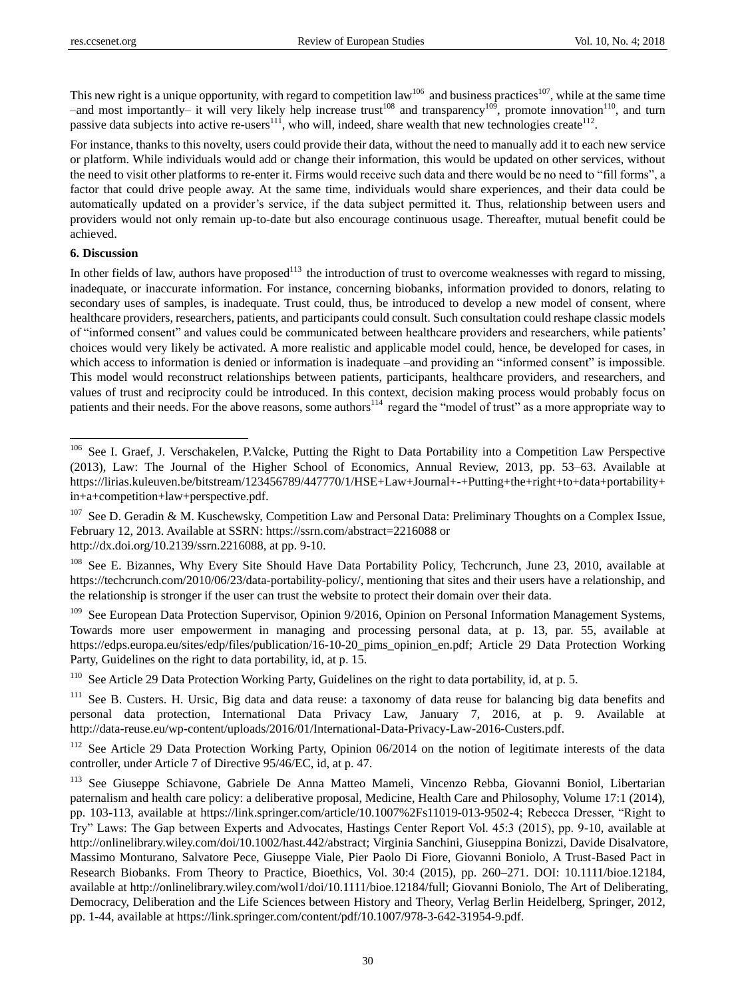This new right is a unique opportunity, with regard to competition  $law^{106}$  and business practices<sup>107</sup>, while at the same time –and most importantly– it will very likely help increase  $\text{trust}^{108}$  and  $\text{transport}^{109}$ , promote innovation<sup>110</sup>, and turn passive data subjects into active re-users<sup>111</sup>, who will, indeed, share wealth that new technologies create<sup>112</sup>.

For instance, thanks to this novelty, users could provide their data, without the need to manually add it to each new service or platform. While individuals would add or change their information, this would be updated on other services, without the need to visit other platforms to re-enter it. Firms would receive such data and there would be no need to "fill forms", a factor that could drive people away. At the same time, individuals would share experiences, and their data could be automatically updated on a provider's service, if the data subject permitted it. Thus, relationship between users and providers would not only remain up-to-date but also encourage continuous usage. Thereafter, mutual benefit could be achieved.

# **6. Discussion**

 $\overline{a}$ 

In other fields of law, authors have proposed<sup>113</sup> the introduction of trust to overcome weaknesses with regard to missing, inadequate, or inaccurate information. For instance, concerning biobanks, information provided to donors, relating to secondary uses of samples, is inadequate. Trust could, thus, be introduced to develop a new model of consent, where healthcare providers, researchers, patients, and participants could consult. Such consultation could reshape classic models of "informed consent" and values could be communicated between healthcare providers and researchers, while patients' choices would very likely be activated. A more realistic and applicable model could, hence, be developed for cases, in which access to information is denied or information is inadequate –and providing an "informed consent" is impossible. This model would reconstruct relationships between patients, participants, healthcare providers, and researchers, and values of trust and reciprocity could be introduced. In this context, decision making process would probably focus on patients and their needs. For the above reasons, some authors<sup>114</sup> regard the "model of trust" as a more appropriate way to

<sup>&</sup>lt;sup>106</sup> See I. Graef, J. Verschakelen, P.Valcke, Putting the Right to Data Portability into a Competition Law Perspective (2013), Law: The Journal of the Higher School of Economics, Annual Review, 2013, pp. 53–63. Available at https://lirias.kuleuven.be/bitstream/123456789/447770/1/HSE+Law+Journal+-+Putting+the+right+to+data+portability+ in+a+competition+law+perspective.pdf.

<sup>&</sup>lt;sup>107</sup> See D. Geradin & M. Kuschewsky, Competition Law and Personal Data: Preliminary Thoughts on a Complex Issue, February 12, 2013. Available at SSRN: https://ssrn.com/abstract=2216088 or

http://dx.doi.org/10.2139/ssrn.2216088, at pp. 9-10.

<sup>&</sup>lt;sup>108</sup> See E. Bizannes, Why Every Site Should Have Data Portability Policy, Techcrunch, June 23, 2010, available at https://techcrunch.com/2010/06/23/data-portability-policy/, mentioning that sites and their users have a relationship, and the relationship is stronger if the user can trust the website to protect their domain over their data.

<sup>&</sup>lt;sup>109</sup> See European Data Protection Supervisor, Opinion 9/2016, Opinion on Personal Information Management Systems, Towards more user empowerment in managing and processing personal data, at p. 13, par. 55, available at https://edps.europa.eu/sites/edp/files/publication/16-10-20\_pims\_opinion\_en.pdf; Article 29 Data Protection Working Party, Guidelines on the right to data portability, id, at p. 15.

<sup>&</sup>lt;sup>110</sup> See Article 29 Data Protection Working Party, Guidelines on the right to data portability, id, at p. 5.

<sup>&</sup>lt;sup>111</sup> See B. Custers. H. Ursic, Big data and data reuse: a taxonomy of data reuse for balancing big data benefits and personal data protection, International Data Privacy Law, January 7, 2016, at p. 9. Available at http://data-reuse.eu/wp-content/uploads/2016/01/International-Data-Privacy-Law-2016-Custers.pdf.

See Article 29 Data Protection Working Party, Opinion 06/2014 on the notion of legitimate interests of the data controller, under Article 7 of Directive 95/46/EC, id, at p. 47.

<sup>113</sup> See Giuseppe Schiavone, Gabriele De Anna Matteo Mameli, Vincenzo Rebba, Giovanni Boniol, Libertarian paternalism and health care policy: a deliberative proposal, Medicine, Health Care and Philosophy, Volume 17:1 (2014), pp. 103-113, available at https://link.springer.com/article/10.1007%2Fs11019-013-9502-4; Rebecca Dresser, "Right to Try" Laws: The Gap between Experts and Advocates, Hastings Center Report Vol. 45:3 (2015), pp. 9-10, available at http://onlinelibrary.wiley.com/doi/10.1002/hast.442/abstract; Virginia Sanchini, Giuseppina Bonizzi, Davide Disalvatore, Massimo Monturano, Salvatore Pece, Giuseppe Viale, Pier Paolo Di Fiore, Giovanni Boniolo, A Trust-Based Pact in Research Biobanks. From Theory to Practice, Bioethics, Vol. 30:4 (2015), pp. 260–271. DOI: 10.1111/bioe.12184, available at http://onlinelibrary.wiley.com/wol1/doi/10.1111/bioe.12184/full; Giovanni Boniolo, The Art of Deliberating, Democracy, Deliberation and the Life Sciences between History and Theory, Verlag Berlin Heidelberg, Springer, 2012, pp. 1-44, available at https://link.springer.com/content/pdf/10.1007/978-3-642-31954-9.pdf.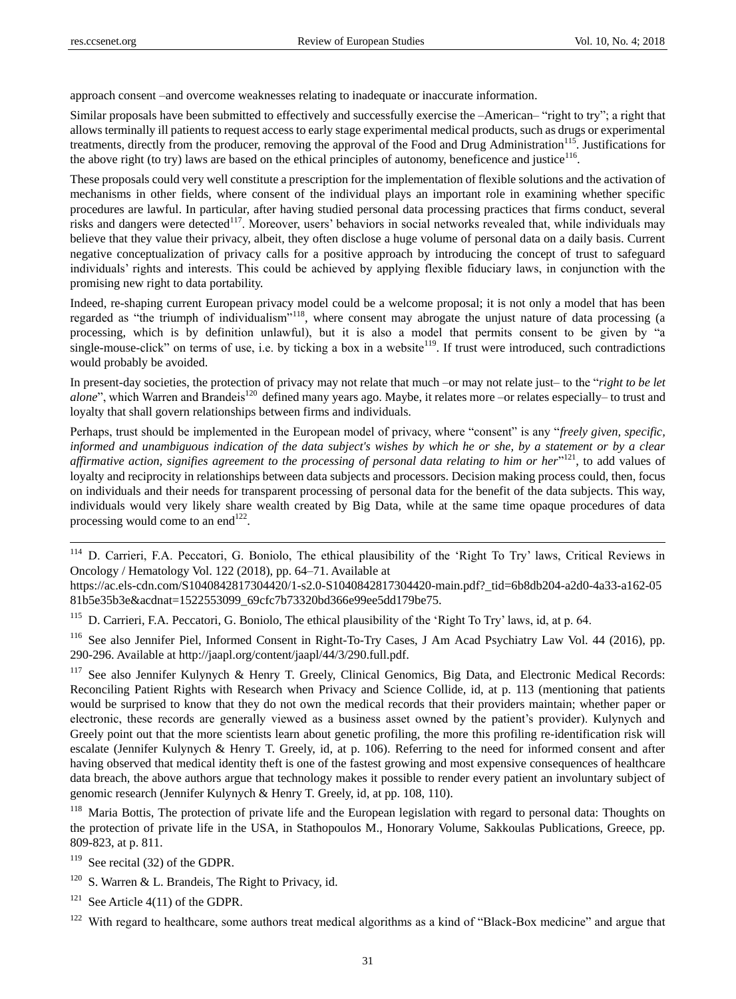$\overline{a}$ 

approach consent –and overcome weaknesses relating to inadequate or inaccurate information.

Similar proposals have been submitted to effectively and successfully exercise the –American– "right to try"; a right that allows terminally ill patients to request access to early stage experimental medical products, such as drugs or experimental treatments, directly from the producer, removing the approval of the Food and Drug Administration<sup>115</sup>. Justifications for the above right (to try) laws are based on the ethical principles of autonomy, beneficence and justice<sup>116</sup>.

These proposals could very well constitute a prescription for the implementation of flexible solutions and the activation of mechanisms in other fields, where consent of the individual plays an important role in examining whether specific procedures are lawful. In particular, after having studied personal data processing practices that firms conduct, several risks and dangers were detected<sup>117</sup>. Moreover, users' behaviors in social networks revealed that, while individuals may believe that they value their privacy, albeit, they often disclose a huge volume of personal data on a daily basis. Current negative conceptualization of privacy calls for a positive approach by introducing the concept of trust to safeguard individuals' rights and interests. This could be achieved by applying flexible fiduciary laws, in conjunction with the promising new right to data portability.

Indeed, re-shaping current European privacy model could be a welcome proposal; it is not only a model that has been regarded as "the triumph of individualism"<sup>118</sup>, where consent may abrogate the unjust nature of data processing (a processing, which is by definition unlawful), but it is also a model that permits consent to be given by "a single-mouse-click" on terms of use, i.e. by ticking a box in a website<sup>119</sup>. If trust were introduced, such contradictions would probably be avoided.

In present-day societies, the protection of privacy may not relate that much –or may not relate just– to the "*right to be let alone*", which Warren and Brandeis<sup>120</sup> defined many years ago. Maybe, it relates more –or relates especially– to trust and loyalty that shall govern relationships between firms and individuals.

Perhaps, trust should be implemented in the European model of privacy, where "consent" is any "freely given, specific, *informed and unambiguous indication of the data subject's wishes by which he or she, by a statement or by a clear*  affirmative action, signifies agreement to the processing of personal data relating to him or her<sup>1121</sup>, to add values of loyalty and reciprocity in relationships between data subjects and processors. Decision making process could, then, focus on individuals and their needs for transparent processing of personal data for the benefit of the data subjects. This way, individuals would very likely share wealth created by Big Data, while at the same time opaque procedures of data processing would come to an end $^{122}$ .

<sup>114</sup> D. Carrieri, F.A. Peccatori, G. Boniolo, The ethical plausibility of the 'Right To Try' laws, Critical Reviews in Oncology / Hematology Vol. 122 (2018), pp. 64–71. Available at

https://ac.els-cdn.com/S1040842817304420/1-s2.0-S1040842817304420-main.pdf?\_tid=6b8db204-a2d0-4a33-a162-05 81b5e35b3e&acdnat=1522553099\_69cfc7b73320bd366e99ee5dd179be75.

<sup>115</sup> D. Carrieri, F.A. Peccatori, G. Boniolo, The ethical plausibility of the 'Right To Try' laws, id, at p. 64.

<sup>116</sup> See also Jennifer Piel, Informed Consent in Right-To-Try Cases, J Am Acad Psychiatry Law Vol. 44 (2016), pp. 290-296. Available at http://jaapl.org/content/jaapl/44/3/290.full.pdf.

<sup>117</sup> See also Jennifer Kulynych & Henry T. Greely, Clinical Genomics, Big Data, and Electronic Medical Records: Reconciling Patient Rights with Research when Privacy and Science Collide, id, at p. 113 (mentioning that patients would be surprised to know that they do not own the medical records that their providers maintain; whether paper or electronic, these records are generally viewed as a business asset owned by the patient's provider). Kulynych and Greely point out that the more scientists learn about genetic profiling, the more this profiling re-identification risk will escalate (Jennifer Kulynych & Henry T. Greely, id, at p. 106). Referring to the need for informed consent and after having observed that medical identity theft is one of the fastest growing and most expensive consequences of healthcare data breach, the above authors argue that technology makes it possible to render every patient an involuntary subject of genomic research (Jennifer Kulynych & Henry T. Greely, id, at pp. 108, 110).

<sup>118</sup> Maria Bottis, The protection of private life and the European legislation with regard to personal data: Thoughts on the protection of private life in the USA, in Stathopoulos M., Honorary Volume, Sakkoulas Publications, Greece, pp. 809-823, at p. 811.

 $119$  See recital (32) of the GDPR.

 $120$  S. Warren & L. Brandeis, The Right to Privacy, id.

<sup>121</sup> See Article 4(11) of the GDPR.

<sup>122</sup> With regard to healthcare, some authors treat medical algorithms as a kind of "Black-Box medicine" and argue that